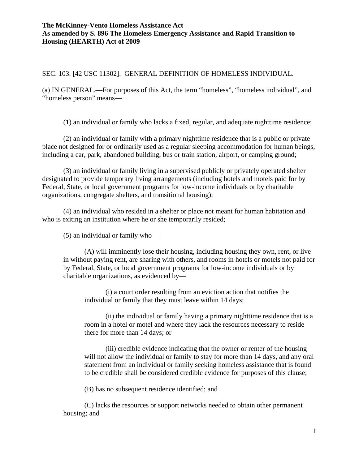#### SEC. 103. [42 USC 11302]. GENERAL DEFINITION OF HOMELESS INDIVIDUAL.

(a) IN GENERAL.—For purposes of this Act, the term "homeless", "homeless individual", and "homeless person" means—

(1) an individual or family who lacks a fixed, regular, and adequate nighttime residence;

(2) an individual or family with a primary nighttime residence that is a public or private place not designed for or ordinarily used as a regular sleeping accommodation for human beings, including a car, park, abandoned building, bus or train station, airport, or camping ground;

(3) an individual or family living in a supervised publicly or privately operated shelter designated to provide temporary living arrangements (including hotels and motels paid for by Federal, State, or local government programs for low-income individuals or by charitable organizations, congregate shelters, and transitional housing);

(4) an individual who resided in a shelter or place not meant for human habitation and who is exiting an institution where he or she temporarily resided;

(5) an individual or family who—

(A) will imminently lose their housing, including housing they own, rent, or live in without paying rent, are sharing with others, and rooms in hotels or motels not paid for by Federal, State, or local government programs for low-income individuals or by charitable organizations, as evidenced by—

(i) a court order resulting from an eviction action that notifies the individual or family that they must leave within 14 days;

(ii) the individual or family having a primary nighttime residence that is a room in a hotel or motel and where they lack the resources necessary to reside there for more than 14 days; or

(iii) credible evidence indicating that the owner or renter of the housing will not allow the individual or family to stay for more than 14 days, and any oral statement from an individual or family seeking homeless assistance that is found to be credible shall be considered credible evidence for purposes of this clause;

(B) has no subsequent residence identified; and

(C) lacks the resources or support networks needed to obtain other permanent housing; and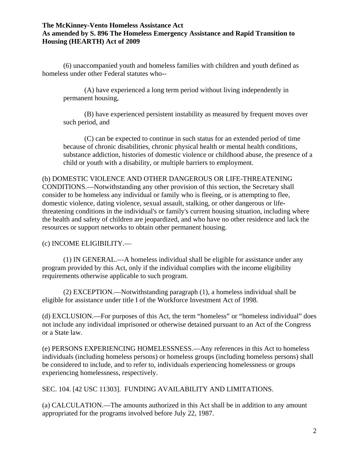(6) unaccompanied youth and homeless families with children and youth defined as homeless under other Federal statutes who--

(A) have experienced a long term period without living independently in permanent housing,

(B) have experienced persistent instability as measured by frequent moves over such period, and

(C) can be expected to continue in such status for an extended period of time because of chronic disabilities, chronic physical health or mental health conditions, substance addiction, histories of domestic violence or childhood abuse, the presence of a child or youth with a disability, or multiple barriers to employment.

### (b) DOMESTIC VIOLENCE AND OTHER DANGEROUS OR LIFE-THREATENING

CONDITIONS.—Notwithstanding any other provision of this section, the Secretary shall consider to be homeless any individual or family who is fleeing, or is attempting to flee, domestic violence, dating violence, sexual assault, stalking, or other dangerous or lifethreatening conditions in the individual's or family's current housing situation, including where the health and safety of children are jeopardized, and who have no other residence and lack the resources or support networks to obtain other permanent housing.

# (c) INCOME ELIGIBILITY.—

(1) IN GENERAL.—A homeless individual shall be eligible for assistance under any program provided by this Act, only if the individual complies with the income eligibility requirements otherwise applicable to such program.

(2) EXCEPTION.—Notwithstanding paragraph (1), a homeless individual shall be eligible for assistance under title I of the Workforce Investment Act of 1998.

(d) EXCLUSION.—For purposes of this Act, the term "homeless" or "homeless individual" does not include any individual imprisoned or otherwise detained pursuant to an Act of the Congress or a State law.

(e) PERSONS EXPERIENCING HOMELESSNESS.—Any references in this Act to homeless individuals (including homeless persons) or homeless groups (including homeless persons) shall be considered to include, and to refer to, individuals experiencing homelessness or groups experiencing homelessness, respectively.

SEC. 104. [42 USC 11303]. FUNDING AVAILABILITY AND LIMITATIONS.

(a) CALCULATION.—The amounts authorized in this Act shall be in addition to any amount appropriated for the programs involved before July 22, 1987.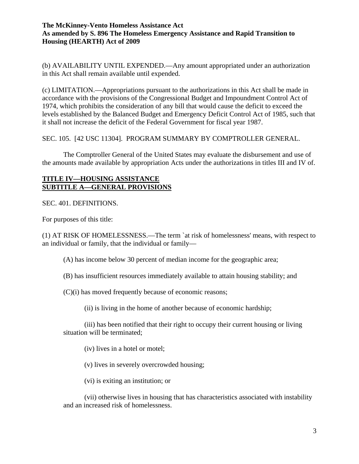(b) AVAILABILITY UNTIL EXPENDED.—Any amount appropriated under an authorization in this Act shall remain available until expended.

(c) LIMITATION.—Appropriations pursuant to the authorizations in this Act shall be made in accordance with the provisions of the Congressional Budget and Impoundment Control Act of 1974, which prohibits the consideration of any bill that would cause the deficit to exceed the levels established by the Balanced Budget and Emergency Deficit Control Act of 1985, such that it shall not increase the deficit of the Federal Government for fiscal year 1987.

SEC. 105. [42 USC 11304]. PROGRAM SUMMARY BY COMPTROLLER GENERAL.

The Comptroller General of the United States may evaluate the disbursement and use of the amounts made available by appropriation Acts under the authorizations in titles III and IV of.

## **TITLE IV—HOUSING ASSISTANCE SUBTITLE A—GENERAL PROVISIONS**

SEC. 401. DEFINITIONS.

For purposes of this title:

(1) AT RISK OF HOMELESSNESS.—The term `at risk of homelessness' means, with respect to an individual or family, that the individual or family—

(A) has income below 30 percent of median income for the geographic area;

(B) has insufficient resources immediately available to attain housing stability; and

(C)(i) has moved frequently because of economic reasons;

(ii) is living in the home of another because of economic hardship;

(iii) has been notified that their right to occupy their current housing or living situation will be terminated;

(iv) lives in a hotel or motel;

(v) lives in severely overcrowded housing;

(vi) is exiting an institution; or

(vii) otherwise lives in housing that has characteristics associated with instability and an increased risk of homelessness.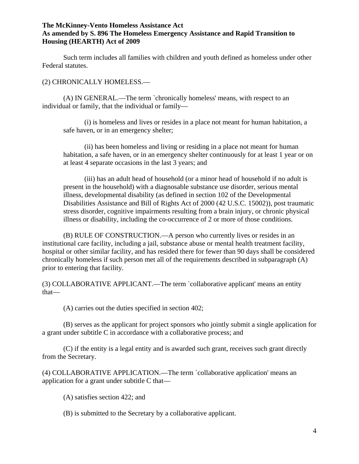Such term includes all families with children and youth defined as homeless under other Federal statutes.

(2) CHRONICALLY HOMELESS.—

(A) IN GENERAL.—The term `chronically homeless' means, with respect to an individual or family, that the individual or family—

(i) is homeless and lives or resides in a place not meant for human habitation, a safe haven, or in an emergency shelter;

(ii) has been homeless and living or residing in a place not meant for human habitation, a safe haven, or in an emergency shelter continuously for at least 1 year or on at least 4 separate occasions in the last 3 years; and

(iii) has an adult head of household (or a minor head of household if no adult is present in the household) with a diagnosable substance use disorder, serious mental illness, developmental disability (as defined in section 102 of the Developmental Disabilities Assistance and Bill of Rights Act of 2000 (42 U.S.C. 15002)), post traumatic stress disorder, cognitive impairments resulting from a brain injury, or chronic physical illness or disability, including the co-occurrence of 2 or more of those conditions.

(B) RULE OF CONSTRUCTION.—A person who currently lives or resides in an institutional care facility, including a jail, substance abuse or mental health treatment facility, hospital or other similar facility, and has resided there for fewer than 90 days shall be considered chronically homeless if such person met all of the requirements described in subparagraph (A) prior to entering that facility.

(3) COLLABORATIVE APPLICANT.—The term `collaborative applicant' means an entity that—

(A) carries out the duties specified in section 402;

(B) serves as the applicant for project sponsors who jointly submit a single application for a grant under subtitle C in accordance with a collaborative process; and

(C) if the entity is a legal entity and is awarded such grant, receives such grant directly from the Secretary.

(4) COLLABORATIVE APPLICATION.—The term `collaborative application' means an application for a grant under subtitle C that—

- (A) satisfies section 422; and
- (B) is submitted to the Secretary by a collaborative applicant.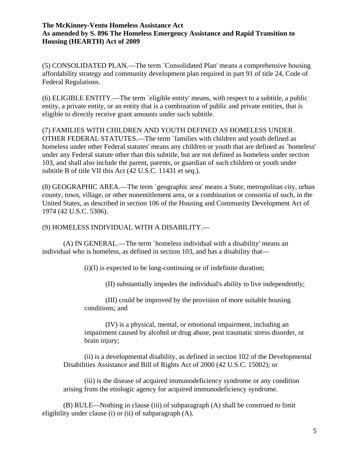(5) CONSOLIDATED PLAN.—The term `Consolidated Plan' means a comprehensive housing affordability strategy and community development plan required in part 91 of title 24, Code of Federal Regulations.

(6) ELIGIBLE ENTITY.—The term `eligible entity' means, with respect to a subtitle, a public entity, a private entity, or an entity that is a combination of public and private entities, that is eligible to directly receive grant amounts under such subtitle.

(7) FAMILIES WITH CHILDREN AND YOUTH DEFINED AS HOMELESS UNDER OTHER FEDERAL STATUTES.—The term `families with children and youth defined as homeless under other Federal statutes' means any children or youth that are defined as `homeless' under any Federal statute other than this subtitle, but are not defined as homeless under section 103, and shall also include the parent, parents, or guardian of such children or youth under subtitle B of title VII this Act (42 U.S.C. 11431 et seq.).

(8) GEOGRAPHIC AREA.—The term `geographic area' means a State, metropolitan city, urban county, town, village, or other nonentitlement area, or a combination or consortia of such, in the United States, as described in section 106 of the Housing and Community Development Act of 1974 (42 U.S.C. 5306).

## (9) HOMELESS INDIVIDUAL WITH A DISABILITY.—

(A) IN GENERAL.—The term `homeless individual with a disability' means an individual who is homeless, as defined in section 103, and has a disability that—

(i)(I) is expected to be long-continuing or of indefinite duration;

(II) substantially impedes the individual's ability to live independently;

(III) could be improved by the provision of more suitable housing conditions; and

(IV) is a physical, mental, or emotional impairment, including an impairment caused by alcohol or drug abuse, post traumatic stress disorder, or brain injury;

(ii) is a developmental disability, as defined in section 102 of the Developmental Disabilities Assistance and Bill of Rights Act of 2000 (42 U.S.C. 15002); or

(iii) is the disease of acquired immunodeficiency syndrome or any condition arising from the etiologic agency for acquired immunodeficiency syndrome.

(B) RULE—Nothing in clause (iii) of subparagraph (A) shall be construed to limit eligibility under clause (i) or (ii) of subparagraph (A).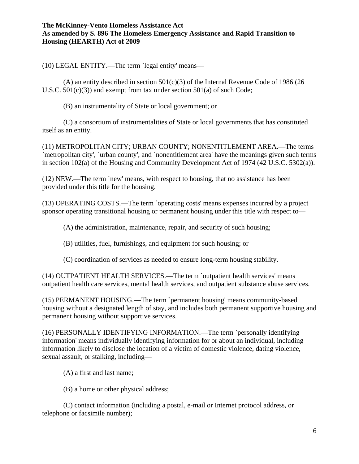(10) LEGAL ENTITY.—The term `legal entity' means—

(A) an entity described in section  $501(c)(3)$  of the Internal Revenue Code of 1986 (26) U.S.C. 501(c)(3)) and exempt from tax under section 501(a) of such Code;

(B) an instrumentality of State or local government; or

(C) a consortium of instrumentalities of State or local governments that has constituted itself as an entity.

(11) METROPOLITAN CITY; URBAN COUNTY; NONENTITLEMENT AREA.—The terms `metropolitan city', `urban county', and `nonentitlement area' have the meanings given such terms in section 102(a) of the Housing and Community Development Act of 1974 (42 U.S.C. 5302(a)).

(12) NEW.—The term `new' means, with respect to housing, that no assistance has been provided under this title for the housing.

(13) OPERATING COSTS.—The term `operating costs' means expenses incurred by a project sponsor operating transitional housing or permanent housing under this title with respect to—

(A) the administration, maintenance, repair, and security of such housing;

(B) utilities, fuel, furnishings, and equipment for such housing; or

(C) coordination of services as needed to ensure long-term housing stability.

(14) OUTPATIENT HEALTH SERVICES.—The term `outpatient health services' means outpatient health care services, mental health services, and outpatient substance abuse services.

(15) PERMANENT HOUSING.—The term `permanent housing' means community-based housing without a designated length of stay, and includes both permanent supportive housing and permanent housing without supportive services.

(16) PERSONALLY IDENTIFYING INFORMATION.—The term `personally identifying information' means individually identifying information for or about an individual, including information likely to disclose the location of a victim of domestic violence, dating violence, sexual assault, or stalking, including—

(A) a first and last name;

(B) a home or other physical address;

(C) contact information (including a postal, e-mail or Internet protocol address, or telephone or facsimile number);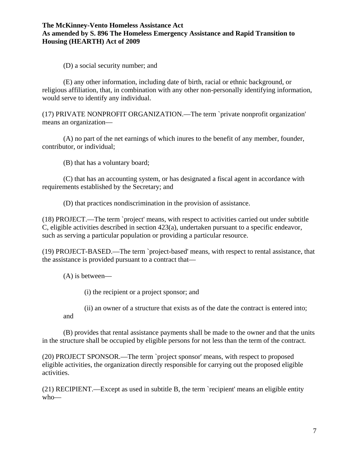(D) a social security number; and

(E) any other information, including date of birth, racial or ethnic background, or religious affiliation, that, in combination with any other non-personally identifying information, would serve to identify any individual.

(17) PRIVATE NONPROFIT ORGANIZATION.—The term `private nonprofit organization' means an organization—

(A) no part of the net earnings of which inures to the benefit of any member, founder, contributor, or individual;

(B) that has a voluntary board;

(C) that has an accounting system, or has designated a fiscal agent in accordance with requirements established by the Secretary; and

(D) that practices nondiscrimination in the provision of assistance.

(18) PROJECT.—The term `project' means, with respect to activities carried out under subtitle C, eligible activities described in section 423(a), undertaken pursuant to a specific endeavor, such as serving a particular population or providing a particular resource.

(19) PROJECT-BASED.—The term `project-based' means, with respect to rental assistance, that the assistance is provided pursuant to a contract that—

(A) is between—

and

(i) the recipient or a project sponsor; and

(ii) an owner of a structure that exists as of the date the contract is entered into;

(B) provides that rental assistance payments shall be made to the owner and that the units in the structure shall be occupied by eligible persons for not less than the term of the contract.

(20) PROJECT SPONSOR.—The term `project sponsor' means, with respect to proposed eligible activities, the organization directly responsible for carrying out the proposed eligible activities.

(21) RECIPIENT.—Except as used in subtitle B, the term `recipient' means an eligible entity who—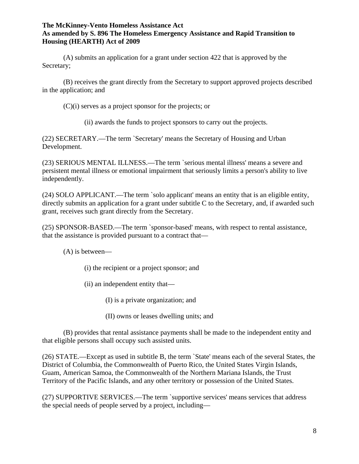(A) submits an application for a grant under section 422 that is approved by the Secretary;

(B) receives the grant directly from the Secretary to support approved projects described in the application; and

(C)(i) serves as a project sponsor for the projects; or

(ii) awards the funds to project sponsors to carry out the projects.

(22) SECRETARY.—The term `Secretary' means the Secretary of Housing and Urban Development.

(23) SERIOUS MENTAL ILLNESS.—The term `serious mental illness' means a severe and persistent mental illness or emotional impairment that seriously limits a person's ability to live independently.

(24) SOLO APPLICANT.—The term `solo applicant' means an entity that is an eligible entity, directly submits an application for a grant under subtitle C to the Secretary, and, if awarded such grant, receives such grant directly from the Secretary.

(25) SPONSOR-BASED.—The term `sponsor-based' means, with respect to rental assistance, that the assistance is provided pursuant to a contract that—

(A) is between—

- (i) the recipient or a project sponsor; and
- (ii) an independent entity that—
	- (I) is a private organization; and
	- (II) owns or leases dwelling units; and

(B) provides that rental assistance payments shall be made to the independent entity and that eligible persons shall occupy such assisted units.

(26) STATE.—Except as used in subtitle B, the term `State' means each of the several States, the District of Columbia, the Commonwealth of Puerto Rico, the United States Virgin Islands, Guam, American Samoa, the Commonwealth of the Northern Mariana Islands, the Trust Territory of the Pacific Islands, and any other territory or possession of the United States.

(27) SUPPORTIVE SERVICES.—The term `supportive services' means services that address the special needs of people served by a project, including—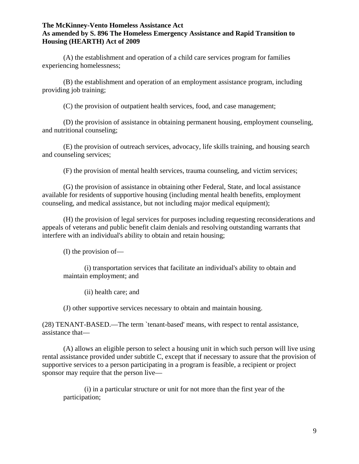(A) the establishment and operation of a child care services program for families experiencing homelessness;

(B) the establishment and operation of an employment assistance program, including providing job training;

(C) the provision of outpatient health services, food, and case management;

(D) the provision of assistance in obtaining permanent housing, employment counseling, and nutritional counseling;

(E) the provision of outreach services, advocacy, life skills training, and housing search and counseling services;

(F) the provision of mental health services, trauma counseling, and victim services;

(G) the provision of assistance in obtaining other Federal, State, and local assistance available for residents of supportive housing (including mental health benefits, employment counseling, and medical assistance, but not including major medical equipment);

(H) the provision of legal services for purposes including requesting reconsiderations and appeals of veterans and public benefit claim denials and resolving outstanding warrants that interfere with an individual's ability to obtain and retain housing;

(I) the provision of—

(i) transportation services that facilitate an individual's ability to obtain and maintain employment; and

(ii) health care; and

(J) other supportive services necessary to obtain and maintain housing.

(28) TENANT-BASED.—The term `tenant-based' means, with respect to rental assistance, assistance that—

(A) allows an eligible person to select a housing unit in which such person will live using rental assistance provided under subtitle C, except that if necessary to assure that the provision of supportive services to a person participating in a program is feasible, a recipient or project sponsor may require that the person live—

(i) in a particular structure or unit for not more than the first year of the participation;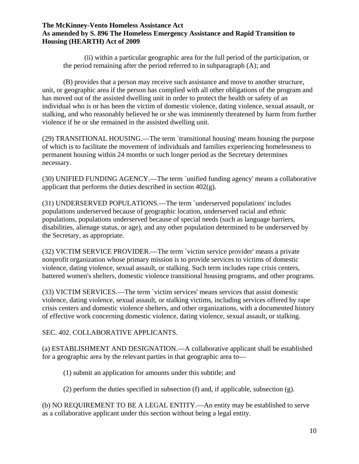(ii) within a particular geographic area for the full period of the participation, or the period remaining after the period referred to in subparagraph (A); and

(B) provides that a person may receive such assistance and move to another structure, unit, or geographic area if the person has complied with all other obligations of the program and has moved out of the assisted dwelling unit in order to protect the health or safety of an individual who is or has been the victim of domestic violence, dating violence, sexual assault, or stalking, and who reasonably believed he or she was imminently threatened by harm from further violence if he or she remained in the assisted dwelling unit.

(29) TRANSITIONAL HOUSING.—The term `transitional housing' means housing the purpose of which is to facilitate the movement of individuals and families experiencing homelessness to permanent housing within 24 months or such longer period as the Secretary determines necessary.

(30) UNIFIED FUNDING AGENCY.—The term `unified funding agency' means a collaborative applicant that performs the duties described in section 402(g).

(31) UNDERSERVED POPULATIONS.—The term `underserved populations' includes populations underserved because of geographic location, underserved racial and ethnic populations, populations underserved because of special needs (such as language barriers, disabilities, alienage status, or age), and any other population determined to be underserved by the Secretary, as appropriate.

(32) VICTIM SERVICE PROVIDER.—The term `victim service provider' means a private nonprofit organization whose primary mission is to provide services to victims of domestic violence, dating violence, sexual assault, or stalking. Such term includes rape crisis centers, battered women's shelters, domestic violence transitional housing programs, and other programs.

(33) VICTIM SERVICES.—The term `victim services' means services that assist domestic violence, dating violence, sexual assault, or stalking victims, including services offered by rape crisis centers and domestic violence shelters, and other organizations, with a documented history of effective work concerning domestic violence, dating violence, sexual assault, or stalking.

SEC. 402. COLLABORATIVE APPLICANTS.

(a) ESTABLISHMENT AND DESIGNATION.—A collaborative applicant shall be established for a geographic area by the relevant parties in that geographic area to—

(1) submit an application for amounts under this subtitle; and

(2) perform the duties specified in subsection (f) and, if applicable, subsection (g).

(b) NO REQUIREMENT TO BE A LEGAL ENTITY.—An entity may be established to serve as a collaborative applicant under this section without being a legal entity.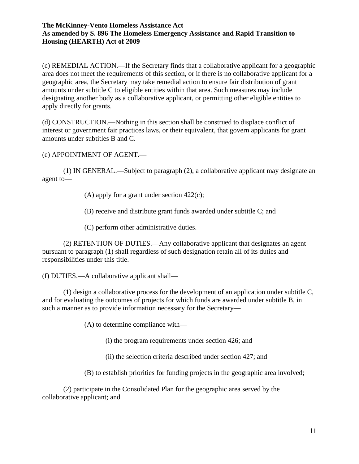(c) REMEDIAL ACTION.—If the Secretary finds that a collaborative applicant for a geographic area does not meet the requirements of this section, or if there is no collaborative applicant for a geographic area, the Secretary may take remedial action to ensure fair distribution of grant amounts under subtitle C to eligible entities within that area. Such measures may include designating another body as a collaborative applicant, or permitting other eligible entities to apply directly for grants.

(d) CONSTRUCTION.—Nothing in this section shall be construed to displace conflict of interest or government fair practices laws, or their equivalent, that govern applicants for grant amounts under subtitles B and C.

(e) APPOINTMENT OF AGENT.—

(1) IN GENERAL.—Subject to paragraph (2), a collaborative applicant may designate an agent to—

(A) apply for a grant under section  $422(c)$ ;

(B) receive and distribute grant funds awarded under subtitle C; and

(C) perform other administrative duties.

(2) RETENTION OF DUTIES.—Any collaborative applicant that designates an agent pursuant to paragraph (1) shall regardless of such designation retain all of its duties and responsibilities under this title.

(f) DUTIES.—A collaborative applicant shall—

(1) design a collaborative process for the development of an application under subtitle C, and for evaluating the outcomes of projects for which funds are awarded under subtitle B, in such a manner as to provide information necessary for the Secretary—

(A) to determine compliance with—

(i) the program requirements under section 426; and

(ii) the selection criteria described under section 427; and

(B) to establish priorities for funding projects in the geographic area involved;

(2) participate in the Consolidated Plan for the geographic area served by the collaborative applicant; and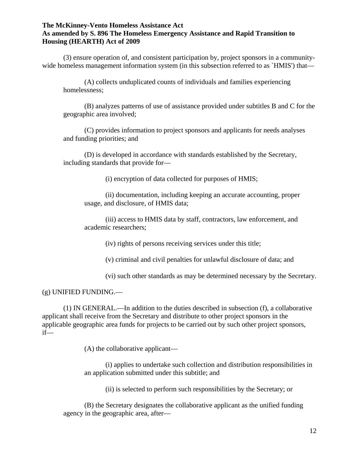(3) ensure operation of, and consistent participation by, project sponsors in a communitywide homeless management information system (in this subsection referred to as `HMIS') that—

(A) collects unduplicated counts of individuals and families experiencing homelessness;

(B) analyzes patterns of use of assistance provided under subtitles B and C for the geographic area involved;

(C) provides information to project sponsors and applicants for needs analyses and funding priorities; and

(D) is developed in accordance with standards established by the Secretary, including standards that provide for—

(i) encryption of data collected for purposes of HMIS;

(ii) documentation, including keeping an accurate accounting, proper usage, and disclosure, of HMIS data;

(iii) access to HMIS data by staff, contractors, law enforcement, and academic researchers;

(iv) rights of persons receiving services under this title;

(v) criminal and civil penalties for unlawful disclosure of data; and

(vi) such other standards as may be determined necessary by the Secretary.

#### (g) UNIFIED FUNDING.—

(1) IN GENERAL.—In addition to the duties described in subsection (f), a collaborative applicant shall receive from the Secretary and distribute to other project sponsors in the applicable geographic area funds for projects to be carried out by such other project sponsors, if—

(A) the collaborative applicant—

(i) applies to undertake such collection and distribution responsibilities in an application submitted under this subtitle; and

(ii) is selected to perform such responsibilities by the Secretary; or

(B) the Secretary designates the collaborative applicant as the unified funding agency in the geographic area, after—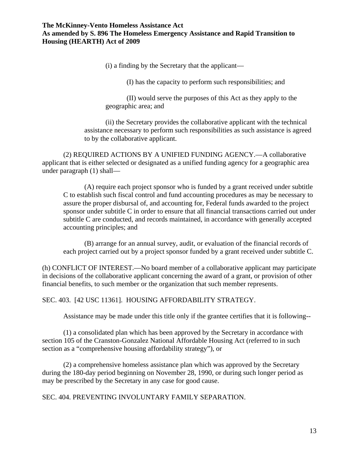(i) a finding by the Secretary that the applicant—

(I) has the capacity to perform such responsibilities; and

(II) would serve the purposes of this Act as they apply to the geographic area; and

(ii) the Secretary provides the collaborative applicant with the technical assistance necessary to perform such responsibilities as such assistance is agreed to by the collaborative applicant.

(2) REQUIRED ACTIONS BY A UNIFIED FUNDING AGENCY.—A collaborative applicant that is either selected or designated as a unified funding agency for a geographic area under paragraph (1) shall—

(A) require each project sponsor who is funded by a grant received under subtitle C to establish such fiscal control and fund accounting procedures as may be necessary to assure the proper disbursal of, and accounting for, Federal funds awarded to the project sponsor under subtitle C in order to ensure that all financial transactions carried out under subtitle C are conducted, and records maintained, in accordance with generally accepted accounting principles; and

(B) arrange for an annual survey, audit, or evaluation of the financial records of each project carried out by a project sponsor funded by a grant received under subtitle C.

(h) CONFLICT OF INTEREST.—No board member of a collaborative applicant may participate in decisions of the collaborative applicant concerning the award of a grant, or provision of other financial benefits, to such member or the organization that such member represents.

SEC. 403. [42 USC 11361]. HOUSING AFFORDABILITY STRATEGY.

Assistance may be made under this title only if the grantee certifies that it is following--

(1) a consolidated plan which has been approved by the Secretary in accordance with section 105 of the Cranston-Gonzalez National Affordable Housing Act (referred to in such section as a "comprehensive housing affordability strategy"), or

(2) a comprehensive homeless assistance plan which was approved by the Secretary during the 180-day period beginning on November 28, 1990, or during such longer period as may be prescribed by the Secretary in any case for good cause.

### SEC. 404. PREVENTING INVOLUNTARY FAMILY SEPARATION.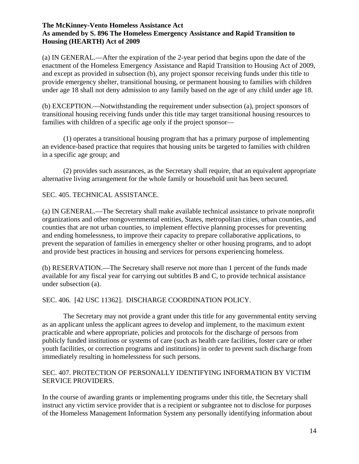(a) IN GENERAL.—After the expiration of the 2-year period that begins upon the date of the enactment of the Homeless Emergency Assistance and Rapid Transition to Housing Act of 2009, and except as provided in subsection (b), any project sponsor receiving funds under this title to provide emergency shelter, transitional housing, or permanent housing to families with children under age 18 shall not deny admission to any family based on the age of any child under age 18.

(b) EXCEPTION.—Notwithstanding the requirement under subsection (a), project sponsors of transitional housing receiving funds under this title may target transitional housing resources to families with children of a specific age only if the project sponsor—

(1) operates a transitional housing program that has a primary purpose of implementing an evidence-based practice that requires that housing units be targeted to families with children in a specific age group; and

(2) provides such assurances, as the Secretary shall require, that an equivalent appropriate alternative living arrangement for the whole family or household unit has been secured.

## SEC. 405. TECHNICAL ASSISTANCE.

(a) IN GENERAL.—The Secretary shall make available technical assistance to private nonprofit organizations and other nongovernmental entities, States, metropolitan cities, urban counties, and counties that are not urban counties, to implement effective planning processes for preventing and ending homelessness, to improve their capacity to prepare collaborative applications, to prevent the separation of families in emergency shelter or other housing programs, and to adopt and provide best practices in housing and services for persons experiencing homeless.

(b) RESERVATION.—The Secretary shall reserve not more than 1 percent of the funds made available for any fiscal year for carrying out subtitles B and C, to provide technical assistance under subsection (a).

### SEC. 406. [42 USC 11362]. DISCHARGE COORDINATION POLICY.

The Secretary may not provide a grant under this title for any governmental entity serving as an applicant unless the applicant agrees to develop and implement, to the maximum extent practicable and where appropriate, policies and protocols for the discharge of persons from publicly funded institutions or systems of care (such as health care facilities, foster care or other youth facilities, or correction programs and institutions) in order to prevent such discharge from immediately resulting in homelessness for such persons.

## SEC. 407. PROTECTION OF PERSONALLY IDENTIFYING INFORMATION BY VICTIM SERVICE PROVIDERS.

In the course of awarding grants or implementing programs under this title, the Secretary shall instruct any victim service provider that is a recipient or subgrantee not to disclose for purposes of the Homeless Management Information System any personally identifying information about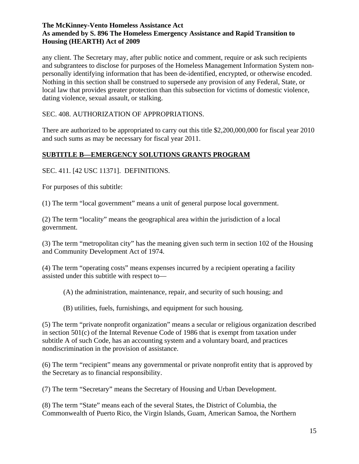any client. The Secretary may, after public notice and comment, require or ask such recipients and subgrantees to disclose for purposes of the Homeless Management Information System nonpersonally identifying information that has been de-identified, encrypted, or otherwise encoded. Nothing in this section shall be construed to supersede any provision of any Federal, State, or local law that provides greater protection than this subsection for victims of domestic violence, dating violence, sexual assault, or stalking.

SEC. 408. AUTHORIZATION OF APPROPRIATIONS.

There are authorized to be appropriated to carry out this title \$2,200,000,000 for fiscal year 2010 and such sums as may be necessary for fiscal year 2011.

# **SUBTITLE B—EMERGENCY SOLUTIONS GRANTS PROGRAM**

SEC. 411. [42 USC 11371]. DEFINITIONS.

For purposes of this subtitle:

(1) The term "local government" means a unit of general purpose local government.

(2) The term "locality" means the geographical area within the jurisdiction of a local government.

(3) The term "metropolitan city" has the meaning given such term in section 102 of the Housing and Community Development Act of 1974.

(4) The term "operating costs" means expenses incurred by a recipient operating a facility assisted under this subtitle with respect to—

(A) the administration, maintenance, repair, and security of such housing; and

(B) utilities, fuels, furnishings, and equipment for such housing.

(5) The term "private nonprofit organization" means a secular or religious organization described in section 501(c) of the Internal Revenue Code of 1986 that is exempt from taxation under subtitle A of such Code, has an accounting system and a voluntary board, and practices nondiscrimination in the provision of assistance.

(6) The term "recipient" means any governmental or private nonprofit entity that is approved by the Secretary as to financial responsibility.

(7) The term "Secretary" means the Secretary of Housing and Urban Development.

(8) The term "State" means each of the several States, the District of Columbia, the Commonwealth of Puerto Rico, the Virgin Islands, Guam, American Samoa, the Northern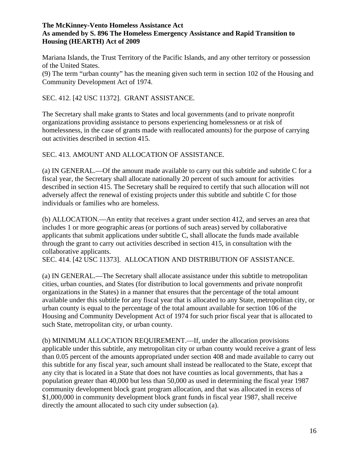Mariana Islands, the Trust Territory of the Pacific Islands, and any other territory or possession of the United States.

(9) The term "urban county" has the meaning given such term in section 102 of the Housing and Community Development Act of 1974.

## SEC. 412. [42 USC 11372]. GRANT ASSISTANCE.

The Secretary shall make grants to States and local governments (and to private nonprofit organizations providing assistance to persons experiencing homelessness or at risk of homelessness, in the case of grants made with reallocated amounts) for the purpose of carrying out activities described in section 415.

## SEC. 413. AMOUNT AND ALLOCATION OF ASSISTANCE.

(a) IN GENERAL.—Of the amount made available to carry out this subtitle and subtitle C for a fiscal year, the Secretary shall allocate nationally 20 percent of such amount for activities described in section 415. The Secretary shall be required to certify that such allocation will not adversely affect the renewal of existing projects under this subtitle and subtitle C for those individuals or families who are homeless.

(b) ALLOCATION.—An entity that receives a grant under section 412, and serves an area that includes 1 or more geographic areas (or portions of such areas) served by collaborative applicants that submit applications under subtitle C, shall allocate the funds made available through the grant to carry out activities described in section 415, in consultation with the collaborative applicants.

SEC. 414. [42 USC 11373]. ALLOCATION AND DISTRIBUTION OF ASSISTANCE.

(a) IN GENERAL.—The Secretary shall allocate assistance under this subtitle to metropolitan cities, urban counties, and States (for distribution to local governments and private nonprofit organizations in the States) in a manner that ensures that the percentage of the total amount available under this subtitle for any fiscal year that is allocated to any State, metropolitan city, or urban county is equal to the percentage of the total amount available for section 106 of the Housing and Community Development Act of 1974 for such prior fiscal year that is allocated to such State, metropolitan city, or urban county.

(b) MINIMUM ALLOCATION REQUIREMENT.—If, under the allocation provisions applicable under this subtitle, any metropolitan city or urban county would receive a grant of less than 0.05 percent of the amounts appropriated under section 408 and made available to carry out this subtitle for any fiscal year, such amount shall instead be reallocated to the State, except that any city that is located in a State that does not have counties as local governments, that has a population greater than 40,000 but less than 50,000 as used in determining the fiscal year 1987 community development block grant program allocation, and that was allocated in excess of \$1,000,000 in community development block grant funds in fiscal year 1987, shall receive directly the amount allocated to such city under subsection (a).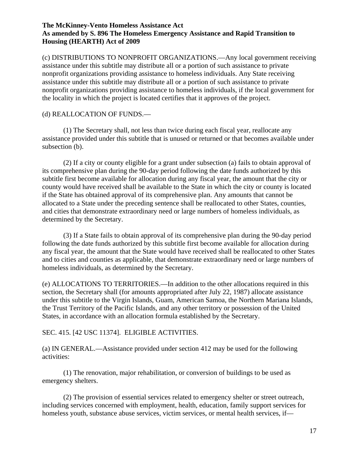(c) DISTRIBUTIONS TO NONPROFIT ORGANIZATIONS.—Any local government receiving assistance under this subtitle may distribute all or a portion of such assistance to private nonprofit organizations providing assistance to homeless individuals. Any State receiving assistance under this subtitle may distribute all or a portion of such assistance to private nonprofit organizations providing assistance to homeless individuals, if the local government for the locality in which the project is located certifies that it approves of the project.

### (d) REALLOCATION OF FUNDS.—

(1) The Secretary shall, not less than twice during each fiscal year, reallocate any assistance provided under this subtitle that is unused or returned or that becomes available under subsection (b).

(2) If a city or county eligible for a grant under subsection (a) fails to obtain approval of its comprehensive plan during the 90-day period following the date funds authorized by this subtitle first become available for allocation during any fiscal year, the amount that the city or county would have received shall be available to the State in which the city or county is located if the State has obtained approval of its comprehensive plan. Any amounts that cannot be allocated to a State under the preceding sentence shall be reallocated to other States, counties, and cities that demonstrate extraordinary need or large numbers of homeless individuals, as determined by the Secretary.

(3) If a State fails to obtain approval of its comprehensive plan during the 90-day period following the date funds authorized by this subtitle first become available for allocation during any fiscal year, the amount that the State would have received shall be reallocated to other States and to cities and counties as applicable, that demonstrate extraordinary need or large numbers of homeless individuals, as determined by the Secretary.

(e) ALLOCATIONS TO TERRITORIES.—In addition to the other allocations required in this section, the Secretary shall (for amounts appropriated after July 22, 1987) allocate assistance under this subtitle to the Virgin Islands, Guam, American Samoa, the Northern Mariana Islands, the Trust Territory of the Pacific Islands, and any other territory or possession of the United States, in accordance with an allocation formula established by the Secretary.

### SEC. 415. [42 USC 11374]. ELIGIBLE ACTIVITIES.

(a) IN GENERAL.—Assistance provided under section 412 may be used for the following activities:

(1) The renovation, major rehabilitation, or conversion of buildings to be used as emergency shelters.

(2) The provision of essential services related to emergency shelter or street outreach, including services concerned with employment, health, education, family support services for homeless youth, substance abuse services, victim services, or mental health services, if—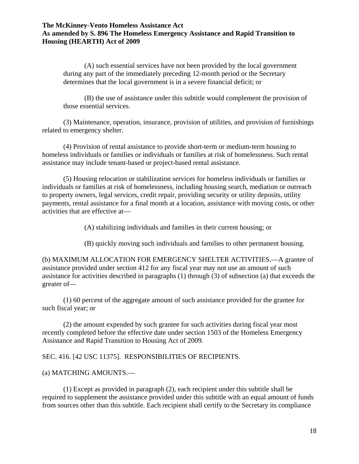(A) such essential services have not been provided by the local government during any part of the immediately preceding 12-month period or the Secretary determines that the local government is in a severe financial deficit; or

(B) the use of assistance under this subtitle would complement the provision of those essential services.

(3) Maintenance, operation, insurance, provision of utilities, and provision of furnishings related to emergency shelter.

(4) Provision of rental assistance to provide short-term or medium-term housing to homeless individuals or families or individuals or families at risk of homelessness. Such rental assistance may include tenant-based or project-based rental assistance.

(5) Housing relocation or stabilization services for homeless individuals or families or individuals or families at risk of homelessness, including housing search, mediation or outreach to property owners, legal services, credit repair, providing security or utility deposits, utility payments, rental assistance for a final month at a location, assistance with moving costs, or other activities that are effective at—

(A) stabilizing individuals and families in their current housing; or

(B) quickly moving such individuals and families to other permanent housing.

(b) MAXIMUM ALLOCATION FOR EMERGENCY SHELTER ACTIVITIES.—A grantee of assistance provided under section 412 for any fiscal year may not use an amount of such assistance for activities described in paragraphs (1) through (3) of subsection (a) that exceeds the greater of—

(1) 60 percent of the aggregate amount of such assistance provided for the grantee for such fiscal year; or

(2) the amount expended by such grantee for such activities during fiscal year most recently completed before the effective date under section 1503 of the Homeless Emergency Assistance and Rapid Transition to Housing Act of 2009.

# SEC. 416. [42 USC 11375]. RESPONSIBILITIES OF RECIPIENTS.

### (a) MATCHING AMOUNTS.—

(1) Except as provided in paragraph (2), each recipient under this subtitle shall be required to supplement the assistance provided under this subtitle with an equal amount of funds from sources other than this subtitle. Each recipient shall certify to the Secretary its compliance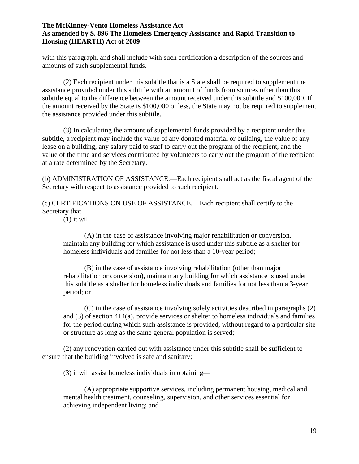with this paragraph, and shall include with such certification a description of the sources and amounts of such supplemental funds.

(2) Each recipient under this subtitle that is a State shall be required to supplement the assistance provided under this subtitle with an amount of funds from sources other than this subtitle equal to the difference between the amount received under this subtitle and \$100,000. If the amount received by the State is \$100,000 or less, the State may not be required to supplement the assistance provided under this subtitle.

(3) In calculating the amount of supplemental funds provided by a recipient under this subtitle, a recipient may include the value of any donated material or building, the value of any lease on a building, any salary paid to staff to carry out the program of the recipient, and the value of the time and services contributed by volunteers to carry out the program of the recipient at a rate determined by the Secretary.

(b) ADMINISTRATION OF ASSISTANCE.—Each recipient shall act as the fiscal agent of the Secretary with respect to assistance provided to such recipient.

(c) CERTIFICATIONS ON USE OF ASSISTANCE.—Each recipient shall certify to the Secretary that—

 $(1)$  it will—

(A) in the case of assistance involving major rehabilitation or conversion, maintain any building for which assistance is used under this subtitle as a shelter for homeless individuals and families for not less than a 10-year period;

(B) in the case of assistance involving rehabilitation (other than major rehabilitation or conversion), maintain any building for which assistance is used under this subtitle as a shelter for homeless individuals and families for not less than a 3-year period; or

(C) in the case of assistance involving solely activities described in paragraphs (2) and (3) of section 414(a), provide services or shelter to homeless individuals and families for the period during which such assistance is provided, without regard to a particular site or structure as long as the same general population is served;

(2) any renovation carried out with assistance under this subtitle shall be sufficient to ensure that the building involved is safe and sanitary;

(3) it will assist homeless individuals in obtaining—

(A) appropriate supportive services, including permanent housing, medical and mental health treatment, counseling, supervision, and other services essential for achieving independent living; and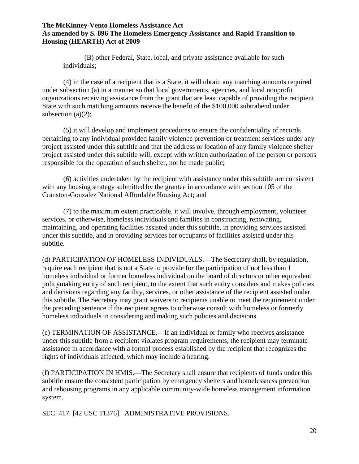(B) other Federal, State, local, and private assistance available for such individuals;

(4) in the case of a recipient that is a State, it will obtain any matching amounts required under subsection (a) in a manner so that local governments, agencies, and local nonprofit organizations receiving assistance from the grant that are least capable of providing the recipient State with such matching amounts receive the benefit of the \$100,000 subtrahend under subsection  $(a)(2)$ ;

(5) it will develop and implement procedures to ensure the confidentiality of records pertaining to any individual provided family violence prevention or treatment services under any project assisted under this subtitle and that the address or location of any family violence shelter project assisted under this subtitle will, except with written authorization of the person or persons responsible for the operation of such shelter, not be made public;

(6) activities undertaken by the recipient with assistance under this subtitle are consistent with any housing strategy submitted by the grantee in accordance with section 105 of the Cranston-Gonzalez National Affordable Housing Act; and

(7) to the maximum extent practicable, it will involve, through employment, volunteer services, or otherwise, homeless individuals and families in constructing, renovating, maintaining, and operating facilities assisted under this subtitle, in providing services assisted under this subtitle, and in providing services for occupants of facilities assisted under this subtitle.

(d) PARTICIPATION OF HOMELESS INDIVIDUALS.—The Secretary shall, by regulation, require each recipient that is not a State to provide for the participation of not less than 1 homeless individual or former homeless individual on the board of directors or other equivalent policymaking entity of such recipient, to the extent that such entity considers and makes policies and decisions regarding any facility, services, or other assistance of the recipient assisted under this subtitle. The Secretary may grant waivers to recipients unable to meet the requirement under the preceding sentence if the recipient agrees to otherwise consult with homeless or formerly homeless individuals in considering and making such policies and decisions.

(e) TERMINATION OF ASSISTANCE.—If an individual or family who receives assistance under this subtitle from a recipient violates program requirements, the recipient may terminate assistance in accordance with a formal process established by the recipient that recognizes the rights of individuals affected, which may include a hearing.

(f) PARTICIPATION IN HMIS.—The Secretary shall ensure that recipients of funds under this subtitle ensure the consistent participation by emergency shelters and homelessness prevention and rehousing programs in any applicable community-wide homeless management information system.

SEC. 417. [42 USC 11376]. ADMINISTRATIVE PROVISIONS.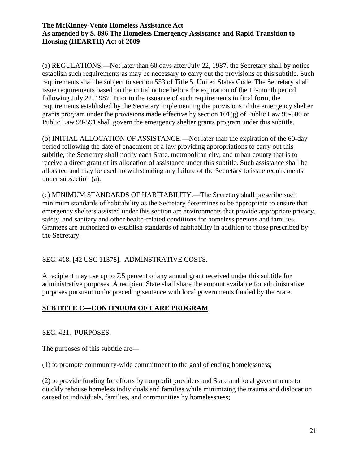(a) REGULATIONS.—Not later than 60 days after July 22, 1987, the Secretary shall by notice establish such requirements as may be necessary to carry out the provisions of this subtitle. Such requirements shall be subject to section 553 of Title 5, United States Code. The Secretary shall issue requirements based on the initial notice before the expiration of the 12-month period following July 22, 1987. Prior to the issuance of such requirements in final form, the requirements established by the Secretary implementing the provisions of the emergency shelter grants program under the provisions made effective by section  $101(g)$  of Public Law 99-500 or Public Law 99-591 shall govern the emergency shelter grants program under this subtitle.

(b) INITIAL ALLOCATION OF ASSISTANCE.—Not later than the expiration of the 60-day period following the date of enactment of a law providing appropriations to carry out this subtitle, the Secretary shall notify each State, metropolitan city, and urban county that is to receive a direct grant of its allocation of assistance under this subtitle. Such assistance shall be allocated and may be used notwithstanding any failure of the Secretary to issue requirements under subsection (a).

(c) MINIMUM STANDARDS OF HABITABILITY.—The Secretary shall prescribe such minimum standards of habitability as the Secretary determines to be appropriate to ensure that emergency shelters assisted under this section are environments that provide appropriate privacy, safety, and sanitary and other health-related conditions for homeless persons and families. Grantees are authorized to establish standards of habitability in addition to those prescribed by the Secretary.

# SEC. 418. [42 USC 11378]. ADMINSTRATIVE COSTS.

A recipient may use up to 7.5 percent of any annual grant received under this subtitle for administrative purposes. A recipient State shall share the amount available for administrative purposes pursuant to the preceding sentence with local governments funded by the State.

# **SUBTITLE C—CONTINUUM OF CARE PROGRAM**

SEC. 421. PURPOSES.

The purposes of this subtitle are—

(1) to promote community-wide commitment to the goal of ending homelessness;

(2) to provide funding for efforts by nonprofit providers and State and local governments to quickly rehouse homeless individuals and families while minimizing the trauma and dislocation caused to individuals, families, and communities by homelessness;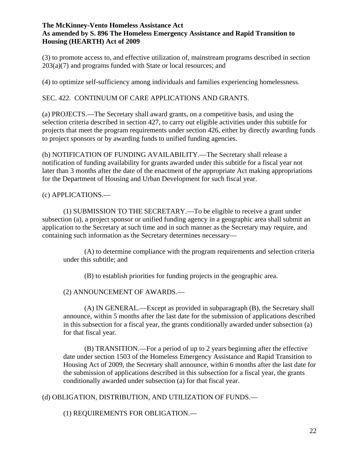(3) to promote access to, and effective utilization of, mainstream programs described in section 203(a)(7) and programs funded with State or local resources; and

(4) to optimize self-sufficiency among individuals and families experiencing homelessness.

SEC. 422. CONTINUUM OF CARE APPLICATIONS AND GRANTS.

(a) PROJECTS.—The Secretary shall award grants, on a competitive basis, and using the selection criteria described in section 427, to carry out eligible activities under this subtitle for projects that meet the program requirements under section 426, either by directly awarding funds to project sponsors or by awarding funds to unified funding agencies.

(b) NOTIFICATION OF FUNDING AVAILABILITY.—The Secretary shall release a notification of funding availability for grants awarded under this subtitle for a fiscal year not later than 3 months after the date of the enactment of the appropriate Act making appropriations for the Department of Housing and Urban Development for such fiscal year.

(c) APPLICATIONS.—

(1) SUBMISSION TO THE SECRETARY.—To be eligible to receive a grant under subsection (a), a project sponsor or unified funding agency in a geographic area shall submit an application to the Secretary at such time and in such manner as the Secretary may require, and containing such information as the Secretary determines necessary—

(A) to determine compliance with the program requirements and selection criteria under this subtitle; and

(B) to establish priorities for funding projects in the geographic area.

(2) ANNOUNCEMENT OF AWARDS.—

(A) IN GENERAL.—Except as provided in subparagraph (B), the Secretary shall announce, within 5 months after the last date for the submission of applications described in this subsection for a fiscal year, the grants conditionally awarded under subsection (a) for that fiscal year.

(B) TRANSITION.—For a period of up to 2 years beginning after the effective date under section 1503 of the Homeless Emergency Assistance and Rapid Transition to Housing Act of 2009, the Secretary shall announce, within 6 months after the last date for the submission of applications described in this subsection for a fiscal year, the grants conditionally awarded under subsection (a) for that fiscal year.

(d) OBLIGATION, DISTRIBUTION, AND UTILIZATION OF FUNDS.—

(1) REQUIREMENTS FOR OBLIGATION.—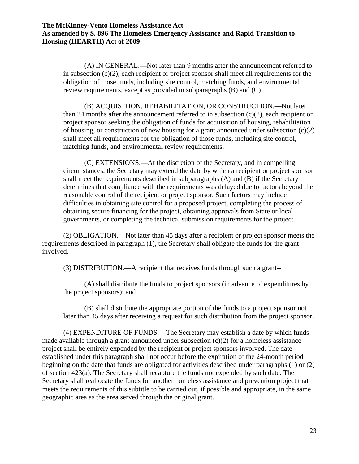(A) IN GENERAL.—Not later than 9 months after the announcement referred to in subsection (c)(2), each recipient or project sponsor shall meet all requirements for the obligation of those funds, including site control, matching funds, and environmental review requirements, except as provided in subparagraphs (B) and (C).

(B) ACQUISITION, REHABILITATION, OR CONSTRUCTION.—Not later than 24 months after the announcement referred to in subsection  $(c)(2)$ , each recipient or project sponsor seeking the obligation of funds for acquisition of housing, rehabilitation of housing, or construction of new housing for a grant announced under subsection  $(c)(2)$ shall meet all requirements for the obligation of those funds, including site control, matching funds, and environmental review requirements.

(C) EXTENSIONS.—At the discretion of the Secretary, and in compelling circumstances, the Secretary may extend the date by which a recipient or project sponsor shall meet the requirements described in subparagraphs (A) and (B) if the Secretary determines that compliance with the requirements was delayed due to factors beyond the reasonable control of the recipient or project sponsor. Such factors may include difficulties in obtaining site control for a proposed project, completing the process of obtaining secure financing for the project, obtaining approvals from State or local governments, or completing the technical submission requirements for the project.

(2) OBLIGATION.—Not later than 45 days after a recipient or project sponsor meets the requirements described in paragraph (1), the Secretary shall obligate the funds for the grant involved.

(3) DISTRIBUTION.—A recipient that receives funds through such a grant--

(A) shall distribute the funds to project sponsors (in advance of expenditures by the project sponsors); and

(B) shall distribute the appropriate portion of the funds to a project sponsor not later than 45 days after receiving a request for such distribution from the project sponsor.

(4) EXPENDITURE OF FUNDS.—The Secretary may establish a date by which funds made available through a grant announced under subsection (c)(2) for a homeless assistance project shall be entirely expended by the recipient or project sponsors involved. The date established under this paragraph shall not occur before the expiration of the 24-month period beginning on the date that funds are obligated for activities described under paragraphs (1) or (2) of section 423(a). The Secretary shall recapture the funds not expended by such date. The Secretary shall reallocate the funds for another homeless assistance and prevention project that meets the requirements of this subtitle to be carried out, if possible and appropriate, in the same geographic area as the area served through the original grant.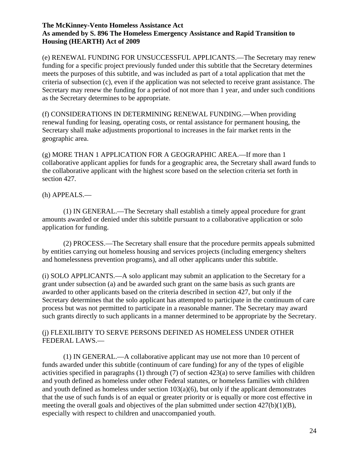(e) RENEWAL FUNDING FOR UNSUCCESSFUL APPLICANTS.—The Secretary may renew funding for a specific project previously funded under this subtitle that the Secretary determines meets the purposes of this subtitle, and was included as part of a total application that met the criteria of subsection (c), even if the application was not selected to receive grant assistance. The Secretary may renew the funding for a period of not more than 1 year, and under such conditions as the Secretary determines to be appropriate.

(f) CONSIDERATIONS IN DETERMINING RENEWAL FUNDING.—When providing renewal funding for leasing, operating costs, or rental assistance for permanent housing, the Secretary shall make adjustments proportional to increases in the fair market rents in the geographic area.

(g) MORE THAN 1 APPLICATION FOR A GEOGRAPHIC AREA.—If more than 1 collaborative applicant applies for funds for a geographic area, the Secretary shall award funds to the collaborative applicant with the highest score based on the selection criteria set forth in section 427.

## (h) APPEALS.—

(1) IN GENERAL.—The Secretary shall establish a timely appeal procedure for grant amounts awarded or denied under this subtitle pursuant to a collaborative application or solo application for funding.

(2) PROCESS.—The Secretary shall ensure that the procedure permits appeals submitted by entities carrying out homeless housing and services projects (including emergency shelters and homelessness prevention programs), and all other applicants under this subtitle.

(i) SOLO APPLICANTS.—A solo applicant may submit an application to the Secretary for a grant under subsection (a) and be awarded such grant on the same basis as such grants are awarded to other applicants based on the criteria described in section 427, but only if the Secretary determines that the solo applicant has attempted to participate in the continuum of care process but was not permitted to participate in a reasonable manner. The Secretary may award such grants directly to such applicants in a manner determined to be appropriate by the Secretary.

## (j) FLEXILIBITY TO SERVE PERSONS DEFINED AS HOMELESS UNDER OTHER FEDERAL LAWS.—

(1) IN GENERAL.—A collaborative applicant may use not more than 10 percent of funds awarded under this subtitle (continuum of care funding) for any of the types of eligible activities specified in paragraphs  $(1)$  through  $(7)$  of section  $423(a)$  to serve families with children and youth defined as homeless under other Federal statutes, or homeless families with children and youth defined as homeless under section  $103(a)(6)$ , but only if the applicant demonstrates that the use of such funds is of an equal or greater priority or is equally or more cost effective in meeting the overall goals and objectives of the plan submitted under section 427(b)(1)(B), especially with respect to children and unaccompanied youth.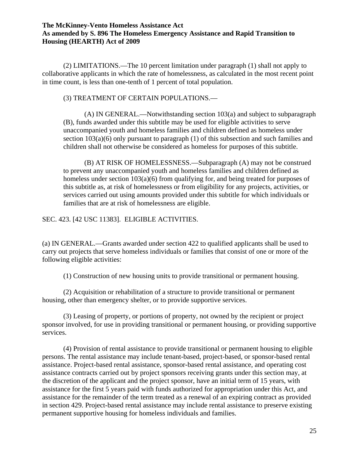(2) LIMITATIONS.—The 10 percent limitation under paragraph (1) shall not apply to collaborative applicants in which the rate of homelessness, as calculated in the most recent point in time count, is less than one-tenth of 1 percent of total population.

## (3) TREATMENT OF CERTAIN POPULATIONS.—

(A) IN GENERAL.—Notwithstanding section 103(a) and subject to subparagraph (B), funds awarded under this subtitle may be used for eligible activities to serve unaccompanied youth and homeless families and children defined as homeless under section 103(a)(6) only pursuant to paragraph (1) of this subsection and such families and children shall not otherwise be considered as homeless for purposes of this subtitle.

(B) AT RISK OF HOMELESSNESS.—Subparagraph (A) may not be construed to prevent any unaccompanied youth and homeless families and children defined as homeless under section 103(a)(6) from qualifying for, and being treated for purposes of this subtitle as, at risk of homelessness or from eligibility for any projects, activities, or services carried out using amounts provided under this subtitle for which individuals or families that are at risk of homelessness are eligible.

SEC. 423. [42 USC 11383]. ELIGIBLE ACTIVITIES.

(a) IN GENERAL.—Grants awarded under section 422 to qualified applicants shall be used to carry out projects that serve homeless individuals or families that consist of one or more of the following eligible activities:

(1) Construction of new housing units to provide transitional or permanent housing.

(2) Acquisition or rehabilitation of a structure to provide transitional or permanent housing, other than emergency shelter, or to provide supportive services.

(3) Leasing of property, or portions of property, not owned by the recipient or project sponsor involved, for use in providing transitional or permanent housing, or providing supportive services.

(4) Provision of rental assistance to provide transitional or permanent housing to eligible persons. The rental assistance may include tenant-based, project-based, or sponsor-based rental assistance. Project-based rental assistance, sponsor-based rental assistance, and operating cost assistance contracts carried out by project sponsors receiving grants under this section may, at the discretion of the applicant and the project sponsor, have an initial term of 15 years, with assistance for the first 5 years paid with funds authorized for appropriation under this Act, and assistance for the remainder of the term treated as a renewal of an expiring contract as provided in section 429. Project-based rental assistance may include rental assistance to preserve existing permanent supportive housing for homeless individuals and families.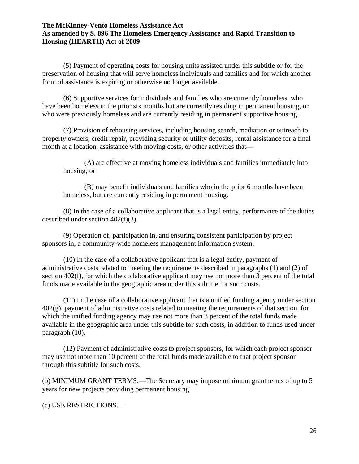(5) Payment of operating costs for housing units assisted under this subtitle or for the preservation of housing that will serve homeless individuals and families and for which another form of assistance is expiring or otherwise no longer available.

(6) Supportive services for individuals and families who are currently homeless, who have been homeless in the prior six months but are currently residing in permanent housing, or who were previously homeless and are currently residing in permanent supportive housing.

(7) Provision of rehousing services, including housing search, mediation or outreach to property owners, credit repair, providing security or utility deposits, rental assistance for a final month at a location, assistance with moving costs, or other activities that—

(A) are effective at moving homeless individuals and families immediately into housing; or

(B) may benefit individuals and families who in the prior 6 months have been homeless, but are currently residing in permanent housing.

(8) In the case of a collaborative applicant that is a legal entity, performance of the duties described under section 402(f)(3).

(9) Operation of, participation in, and ensuring consistent participation by project sponsors in, a community-wide homeless management information system.

(10) In the case of a collaborative applicant that is a legal entity, payment of administrative costs related to meeting the requirements described in paragraphs (1) and (2) of section 402(f), for which the collaborative applicant may use not more than 3 percent of the total funds made available in the geographic area under this subtitle for such costs.

(11) In the case of a collaborative applicant that is a unified funding agency under section  $402(g)$ , payment of administrative costs related to meeting the requirements of that section, for which the unified funding agency may use not more than 3 percent of the total funds made available in the geographic area under this subtitle for such costs, in addition to funds used under paragraph (10).

(12) Payment of administrative costs to project sponsors, for which each project sponsor may use not more than 10 percent of the total funds made available to that project sponsor through this subtitle for such costs.

(b) MINIMUM GRANT TERMS.—The Secretary may impose minimum grant terms of up to 5 years for new projects providing permanent housing.

(c) USE RESTRICTIONS.—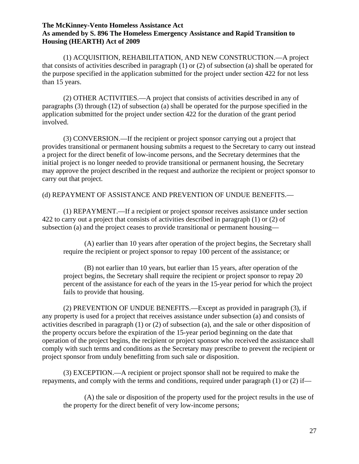(1) ACQUISITION, REHABILITATION, AND NEW CONSTRUCTION.—A project that consists of activities described in paragraph (1) or (2) of subsection (a) shall be operated for the purpose specified in the application submitted for the project under section 422 for not less than 15 years.

(2) OTHER ACTIVITIES.—A project that consists of activities described in any of paragraphs (3) through (12) of subsection (a) shall be operated for the purpose specified in the application submitted for the project under section 422 for the duration of the grant period involved.

(3) CONVERSION.—If the recipient or project sponsor carrying out a project that provides transitional or permanent housing submits a request to the Secretary to carry out instead a project for the direct benefit of low-income persons, and the Secretary determines that the initial project is no longer needed to provide transitional or permanent housing, the Secretary may approve the project described in the request and authorize the recipient or project sponsor to carry out that project.

## (d) REPAYMENT OF ASSISTANCE AND PREVENTION OF UNDUE BENEFITS.—

(1) REPAYMENT.—If a recipient or project sponsor receives assistance under section 422 to carry out a project that consists of activities described in paragraph (1) or (2) of subsection (a) and the project ceases to provide transitional or permanent housing—

(A) earlier than 10 years after operation of the project begins, the Secretary shall require the recipient or project sponsor to repay 100 percent of the assistance; or

(B) not earlier than 10 years, but earlier than 15 years, after operation of the project begins, the Secretary shall require the recipient or project sponsor to repay 20 percent of the assistance for each of the years in the 15-year period for which the project fails to provide that housing.

(2) PREVENTION OF UNDUE BENEFITS.—Except as provided in paragraph (3), if any property is used for a project that receives assistance under subsection (a) and consists of activities described in paragraph (1) or (2) of subsection (a), and the sale or other disposition of the property occurs before the expiration of the 15-year period beginning on the date that operation of the project begins, the recipient or project sponsor who received the assistance shall comply with such terms and conditions as the Secretary may prescribe to prevent the recipient or project sponsor from unduly benefitting from such sale or disposition.

(3) EXCEPTION.—A recipient or project sponsor shall not be required to make the repayments, and comply with the terms and conditions, required under paragraph (1) or (2) if—

(A) the sale or disposition of the property used for the project results in the use of the property for the direct benefit of very low-income persons;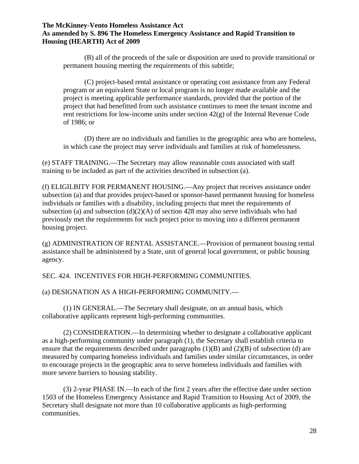(B) all of the proceeds of the sale or disposition are used to provide transitional or permanent housing meeting the requirements of this subtitle;

(C) project-based rental assistance or operating cost assistance from any Federal program or an equivalent State or local program is no longer made available and the project is meeting applicable performance standards, provided that the portion of the project that had benefitted from such assistance continues to meet the tenant income and rent restrictions for low-income units under section  $42(g)$  of the Internal Revenue Code of 1986; or

(D) there are no individuals and families in the geographic area who are homeless, in which case the project may serve individuals and families at risk of homelessness.

(e) STAFF TRAINING.—The Secretary may allow reasonable costs associated with staff training to be included as part of the activities described in subsection (a).

(f) ELIGILBITY FOR PERMANENT HOUSING.—Any project that receives assistance under subsection (a) and that provides project-based or sponsor-based permanent housing for homeless individuals or families with a disability, including projects that meet the requirements of subsection (a) and subsection  $(d)(2)(A)$  of section 428 may also serve individuals who had previously met the requirements for such project prior to moving into a different permanent housing project.

(g) ADMINISTRATION OF RENTAL ASSISTANCE.—Provision of permanent housing rental assistance shall be administered by a State, unit of general local government, or public housing agency.

SEC. 424. INCENTIVES FOR HIGH-PERFORMING COMMUNITIES.

(a) DESIGNATION AS A HIGH-PERFORMING COMMUNITY.—

(1) IN GENERAL.—The Secretary shall designate, on an annual basis, which collaborative applicants represent high-performing communities.

(2) CONSIDERATION.—In determining whether to designate a collaborative applicant as a high-performing community under paragraph (1), the Secretary shall establish criteria to ensure that the requirements described under paragraphs  $(1)(B)$  and  $(2)(B)$  of subsection (d) are measured by comparing homeless individuals and families under similar circumstances, in order to encourage projects in the geographic area to serve homeless individuals and families with more severe barriers to housing stability.

(3) 2-year PHASE IN.—In each of the first 2 years after the effective date under section 1503 of the Homeless Emergency Assistance and Rapid Transition to Housing Act of 2009, the Secretary shall designate not more than 10 collaborative applicants as high-performing communities.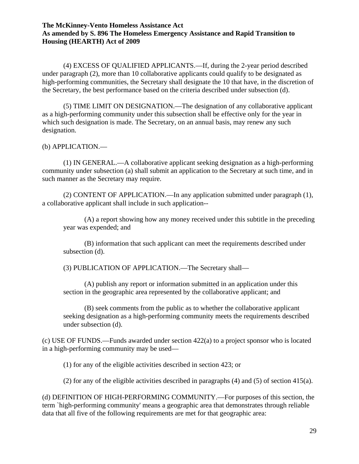(4) EXCESS OF QUALIFIED APPLICANTS.—If, during the 2-year period described under paragraph (2), more than 10 collaborative applicants could qualify to be designated as high-performing communities, the Secretary shall designate the 10 that have, in the discretion of the Secretary, the best performance based on the criteria described under subsection (d).

(5) TIME LIMIT ON DESIGNATION.—The designation of any collaborative applicant as a high-performing community under this subsection shall be effective only for the year in which such designation is made. The Secretary, on an annual basis, may renew any such designation.

(b) APPLICATION.—

(1) IN GENERAL.—A collaborative applicant seeking designation as a high-performing community under subsection (a) shall submit an application to the Secretary at such time, and in such manner as the Secretary may require.

(2) CONTENT OF APPLICATION.—In any application submitted under paragraph (1), a collaborative applicant shall include in such application--

(A) a report showing how any money received under this subtitle in the preceding year was expended; and

(B) information that such applicant can meet the requirements described under subsection (d).

(3) PUBLICATION OF APPLICATION.—The Secretary shall—

(A) publish any report or information submitted in an application under this section in the geographic area represented by the collaborative applicant; and

(B) seek comments from the public as to whether the collaborative applicant seeking designation as a high-performing community meets the requirements described under subsection (d).

(c) USE OF FUNDS.—Funds awarded under section 422(a) to a project sponsor who is located in a high-performing community may be used—

(1) for any of the eligible activities described in section 423; or

(2) for any of the eligible activities described in paragraphs (4) and (5) of section 415(a).

(d) DEFINITION OF HIGH-PERFORMING COMMUNITY.—For purposes of this section, the term `high-performing community' means a geographic area that demonstrates through reliable data that all five of the following requirements are met for that geographic area: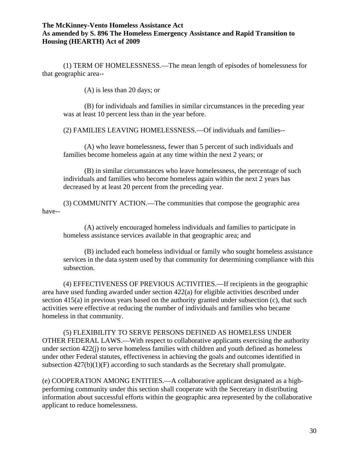(1) TERM OF HOMELESSNESS.—The mean length of episodes of homelessness for that geographic area--

(A) is less than 20 days; or

(B) for individuals and families in similar circumstances in the preceding year was at least 10 percent less than in the year before.

(2) FAMILIES LEAVING HOMELESSNESS.—Of individuals and families--

(A) who leave homelessness, fewer than 5 percent of such individuals and families become homeless again at any time within the next 2 years; or

(B) in similar circumstances who leave homelessness, the percentage of such individuals and families who become homeless again within the next 2 years has decreased by at least 20 percent from the preceding year.

(3) COMMUNITY ACTION.—The communities that compose the geographic area have--

(A) actively encouraged homeless individuals and families to participate in homeless assistance services available in that geographic area; and

(B) included each homeless individual or family who sought homeless assistance services in the data system used by that community for determining compliance with this subsection.

(4) EFFECTIVENESS OF PREVIOUS ACTIVITIES.—If recipients in the geographic area have used funding awarded under section 422(a) for eligible activities described under section 415(a) in previous years based on the authority granted under subsection (c), that such activities were effective at reducing the number of individuals and families who became homeless in that community.

(5) FLEXIBILITY TO SERVE PERSONS DEFINED AS HOMELESS UNDER OTHER FEDERAL LAWS.—With respect to collaborative applicants exercising the authority under section  $422(i)$  to serve homeless families with children and youth defined as homeless under other Federal statutes, effectiveness in achieving the goals and outcomes identified in subsection 427(b)(1)(F) according to such standards as the Secretary shall promulgate.

(e) COOPERATION AMONG ENTITIES.—A collaborative applicant designated as a highperforming community under this section shall cooperate with the Secretary in distributing information about successful efforts within the geographic area represented by the collaborative applicant to reduce homelessness.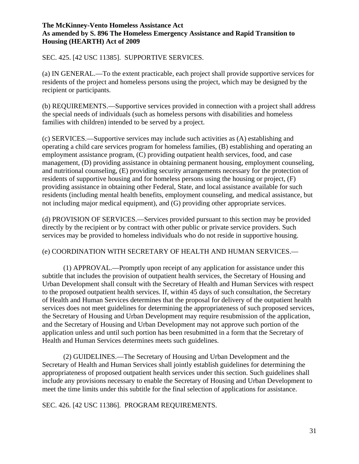SEC. 425. [42 USC 11385]. SUPPORTIVE SERVICES.

(a) IN GENERAL.—To the extent practicable, each project shall provide supportive services for residents of the project and homeless persons using the project, which may be designed by the recipient or participants.

(b) REQUIREMENTS.—Supportive services provided in connection with a project shall address the special needs of individuals (such as homeless persons with disabilities and homeless families with children) intended to be served by a project.

(c) SERVICES.—Supportive services may include such activities as (A) establishing and operating a child care services program for homeless families, (B) establishing and operating an employment assistance program, (C) providing outpatient health services, food, and case management, (D) providing assistance in obtaining permanent housing, employment counseling, and nutritional counseling, (E) providing security arrangements necessary for the protection of residents of supportive housing and for homeless persons using the housing or project, (F) providing assistance in obtaining other Federal, State, and local assistance available for such residents (including mental health benefits, employment counseling, and medical assistance, but not including major medical equipment), and (G) providing other appropriate services.

(d) PROVISION OF SERVICES.—Services provided pursuant to this section may be provided directly by the recipient or by contract with other public or private service providers. Such services may be provided to homeless individuals who do not reside in supportive housing.

### (e) COORDINATION WITH SECRETARY OF HEALTH AND HUMAN SERVICES.—

(1) APPROVAL.—Promptly upon receipt of any application for assistance under this subtitle that includes the provision of outpatient health services, the Secretary of Housing and Urban Development shall consult with the Secretary of Health and Human Services with respect to the proposed outpatient health services. If, within 45 days of such consultation, the Secretary of Health and Human Services determines that the proposal for delivery of the outpatient health services does not meet guidelines for determining the appropriateness of such proposed services, the Secretary of Housing and Urban Development may require resubmission of the application, and the Secretary of Housing and Urban Development may not approve such portion of the application unless and until such portion has been resubmitted in a form that the Secretary of Health and Human Services determines meets such guidelines.

(2) GUIDELINES.—The Secretary of Housing and Urban Development and the Secretary of Health and Human Services shall jointly establish guidelines for determining the appropriateness of proposed outpatient health services under this section. Such guidelines shall include any provisions necessary to enable the Secretary of Housing and Urban Development to meet the time limits under this subtitle for the final selection of applications for assistance.

SEC. 426. [42 USC 11386]. PROGRAM REQUIREMENTS.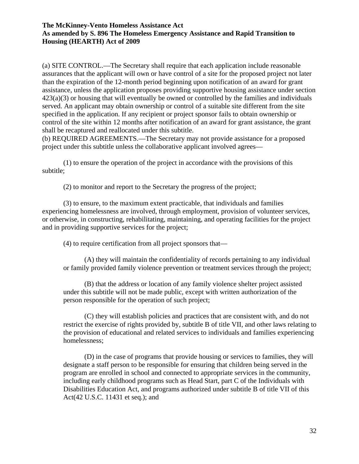(a) SITE CONTROL.—The Secretary shall require that each application include reasonable assurances that the applicant will own or have control of a site for the proposed project not later than the expiration of the 12-month period beginning upon notification of an award for grant assistance, unless the application proposes providing supportive housing assistance under section 423(a)(3) or housing that will eventually be owned or controlled by the families and individuals served. An applicant may obtain ownership or control of a suitable site different from the site specified in the application. If any recipient or project sponsor fails to obtain ownership or control of the site within 12 months after notification of an award for grant assistance, the grant shall be recaptured and reallocated under this subtitle.

(b) REQUIRED AGREEMENTS.—The Secretary may not provide assistance for a proposed project under this subtitle unless the collaborative applicant involved agrees—

(1) to ensure the operation of the project in accordance with the provisions of this subtitle;

(2) to monitor and report to the Secretary the progress of the project;

(3) to ensure, to the maximum extent practicable, that individuals and families experiencing homelessness are involved, through employment, provision of volunteer services, or otherwise, in constructing, rehabilitating, maintaining, and operating facilities for the project and in providing supportive services for the project;

(4) to require certification from all project sponsors that—

(A) they will maintain the confidentiality of records pertaining to any individual or family provided family violence prevention or treatment services through the project;

(B) that the address or location of any family violence shelter project assisted under this subtitle will not be made public, except with written authorization of the person responsible for the operation of such project;

(C) they will establish policies and practices that are consistent with, and do not restrict the exercise of rights provided by, subtitle B of title VII, and other laws relating to the provision of educational and related services to individuals and families experiencing homelessness;

(D) in the case of programs that provide housing or services to families, they will designate a staff person to be responsible for ensuring that children being served in the program are enrolled in school and connected to appropriate services in the community, including early childhood programs such as Head Start, part C of the Individuals with Disabilities Education Act, and programs authorized under subtitle B of title VII of this Act(42 U.S.C. 11431 et seq.); and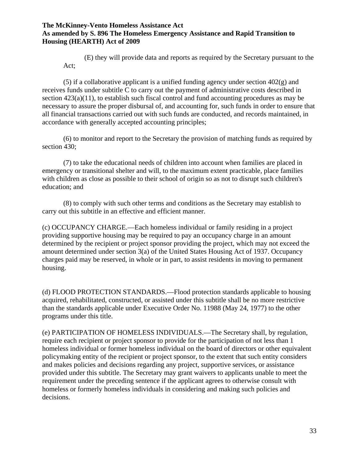(E) they will provide data and reports as required by the Secretary pursuant to the Act;

(5) if a collaborative applicant is a unified funding agency under section  $402(g)$  and receives funds under subtitle C to carry out the payment of administrative costs described in section  $423(a)(11)$ , to establish such fiscal control and fund accounting procedures as may be necessary to assure the proper disbursal of, and accounting for, such funds in order to ensure that all financial transactions carried out with such funds are conducted, and records maintained, in accordance with generally accepted accounting principles;

(6) to monitor and report to the Secretary the provision of matching funds as required by section 430;

(7) to take the educational needs of children into account when families are placed in emergency or transitional shelter and will, to the maximum extent practicable, place families with children as close as possible to their school of origin so as not to disrupt such children's education; and

(8) to comply with such other terms and conditions as the Secretary may establish to carry out this subtitle in an effective and efficient manner.

(c) OCCUPANCY CHARGE.—Each homeless individual or family residing in a project providing supportive housing may be required to pay an occupancy charge in an amount determined by the recipient or project sponsor providing the project, which may not exceed the amount determined under section 3(a) of the United States Housing Act of 1937. Occupancy charges paid may be reserved, in whole or in part, to assist residents in moving to permanent housing.

(d) FLOOD PROTECTION STANDARDS.—Flood protection standards applicable to housing acquired, rehabilitated, constructed, or assisted under this subtitle shall be no more restrictive than the standards applicable under Executive Order No. 11988 (May 24, 1977) to the other programs under this title.

(e) PARTICIPATION OF HOMELESS INDIVIDUALS.—The Secretary shall, by regulation, require each recipient or project sponsor to provide for the participation of not less than 1 homeless individual or former homeless individual on the board of directors or other equivalent policymaking entity of the recipient or project sponsor, to the extent that such entity considers and makes policies and decisions regarding any project, supportive services, or assistance provided under this subtitle. The Secretary may grant waivers to applicants unable to meet the requirement under the preceding sentence if the applicant agrees to otherwise consult with homeless or formerly homeless individuals in considering and making such policies and decisions.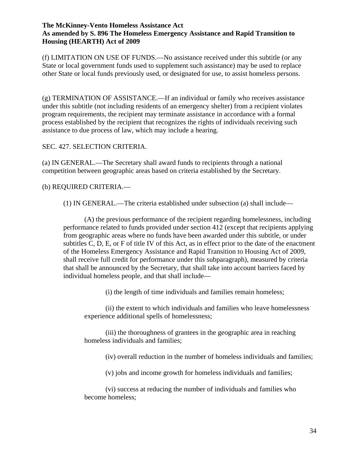(f) LIMITATION ON USE OF FUNDS.—No assistance received under this subtitle (or any State or local government funds used to supplement such assistance) may be used to replace other State or local funds previously used, or designated for use, to assist homeless persons.

(g) TERMINATION OF ASSISTANCE.—If an individual or family who receives assistance under this subtitle (not including residents of an emergency shelter) from a recipient violates program requirements, the recipient may terminate assistance in accordance with a formal process established by the recipient that recognizes the rights of individuals receiving such assistance to due process of law, which may include a hearing.

## SEC. 427. SELECTION CRITERIA.

(a) IN GENERAL.—The Secretary shall award funds to recipients through a national competition between geographic areas based on criteria established by the Secretary.

# (b) REQUIRED CRITERIA.—

(1) IN GENERAL.—The criteria established under subsection (a) shall include—

(A) the previous performance of the recipient regarding homelessness, including performance related to funds provided under section 412 (except that recipients applying from geographic areas where no funds have been awarded under this subtitle, or under subtitles C, D, E, or F of title IV of this Act, as in effect prior to the date of the enactment of the Homeless Emergency Assistance and Rapid Transition to Housing Act of 2009, shall receive full credit for performance under this subparagraph), measured by criteria that shall be announced by the Secretary, that shall take into account barriers faced by individual homeless people, and that shall include—

(i) the length of time individuals and families remain homeless;

(ii) the extent to which individuals and families who leave homelessness experience additional spells of homelessness;

(iii) the thoroughness of grantees in the geographic area in reaching homeless individuals and families;

(iv) overall reduction in the number of homeless individuals and families;

(v) jobs and income growth for homeless individuals and families;

(vi) success at reducing the number of individuals and families who become homeless;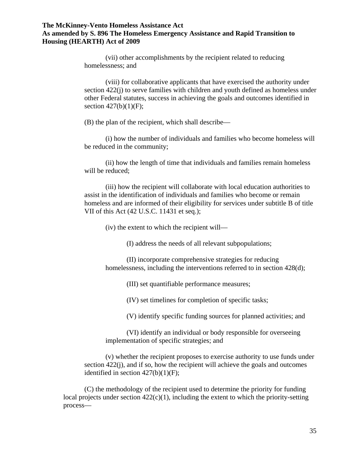(vii) other accomplishments by the recipient related to reducing homelessness; and

(viii) for collaborative applicants that have exercised the authority under section 422(j) to serve families with children and youth defined as homeless under other Federal statutes, success in achieving the goals and outcomes identified in section  $427(b)(1)(F)$ ;

(B) the plan of the recipient, which shall describe—

(i) how the number of individuals and families who become homeless will be reduced in the community;

(ii) how the length of time that individuals and families remain homeless will be reduced;

(iii) how the recipient will collaborate with local education authorities to assist in the identification of individuals and families who become or remain homeless and are informed of their eligibility for services under subtitle B of title VII of this Act (42 U.S.C. 11431 et seq.);

(iv) the extent to which the recipient will—

(I) address the needs of all relevant subpopulations;

(II) incorporate comprehensive strategies for reducing homelessness, including the interventions referred to in section 428(d);

(III) set quantifiable performance measures;

(IV) set timelines for completion of specific tasks;

(V) identify specific funding sources for planned activities; and

(VI) identify an individual or body responsible for overseeing implementation of specific strategies; and

(v) whether the recipient proposes to exercise authority to use funds under section 422(j), and if so, how the recipient will achieve the goals and outcomes identified in section  $427(b)(1)(F)$ ;

(C) the methodology of the recipient used to determine the priority for funding local projects under section  $422(c)(1)$ , including the extent to which the priority-setting process—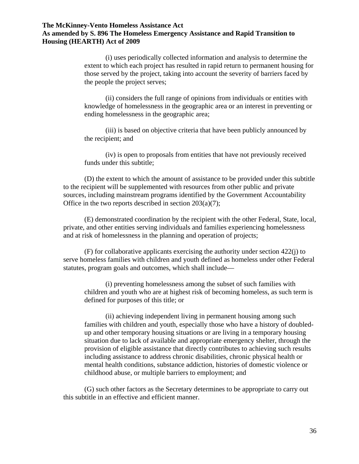(i) uses periodically collected information and analysis to determine the extent to which each project has resulted in rapid return to permanent housing for those served by the project, taking into account the severity of barriers faced by the people the project serves;

(ii) considers the full range of opinions from individuals or entities with knowledge of homelessness in the geographic area or an interest in preventing or ending homelessness in the geographic area;

(iii) is based on objective criteria that have been publicly announced by the recipient; and

(iv) is open to proposals from entities that have not previously received funds under this subtitle;

(D) the extent to which the amount of assistance to be provided under this subtitle to the recipient will be supplemented with resources from other public and private sources, including mainstream programs identified by the Government Accountability Office in the two reports described in section  $203(a)(7)$ ;

(E) demonstrated coordination by the recipient with the other Federal, State, local, private, and other entities serving individuals and families experiencing homelessness and at risk of homelessness in the planning and operation of projects;

(F) for collaborative applicants exercising the authority under section 422(j) to serve homeless families with children and youth defined as homeless under other Federal statutes, program goals and outcomes, which shall include—

(i) preventing homelessness among the subset of such families with children and youth who are at highest risk of becoming homeless, as such term is defined for purposes of this title; or

(ii) achieving independent living in permanent housing among such families with children and youth, especially those who have a history of doubledup and other temporary housing situations or are living in a temporary housing situation due to lack of available and appropriate emergency shelter, through the provision of eligible assistance that directly contributes to achieving such results including assistance to address chronic disabilities, chronic physical health or mental health conditions, substance addiction, histories of domestic violence or childhood abuse, or multiple barriers to employment; and

(G) such other factors as the Secretary determines to be appropriate to carry out this subtitle in an effective and efficient manner.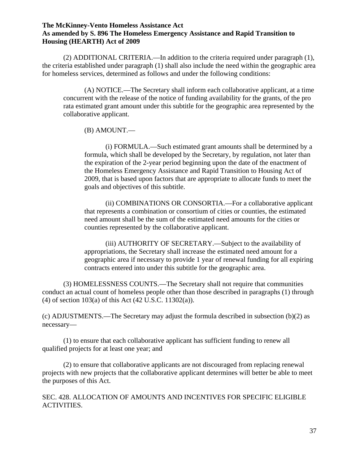(2) ADDITIONAL CRITERIA.—In addition to the criteria required under paragraph (1), the criteria established under paragraph (1) shall also include the need within the geographic area for homeless services, determined as follows and under the following conditions:

(A) NOTICE.—The Secretary shall inform each collaborative applicant, at a time concurrent with the release of the notice of funding availability for the grants, of the pro rata estimated grant amount under this subtitle for the geographic area represented by the collaborative applicant.

(B) AMOUNT.—

(i) FORMULA.—Such estimated grant amounts shall be determined by a formula, which shall be developed by the Secretary, by regulation, not later than the expiration of the 2-year period beginning upon the date of the enactment of the Homeless Emergency Assistance and Rapid Transition to Housing Act of 2009, that is based upon factors that are appropriate to allocate funds to meet the goals and objectives of this subtitle.

(ii) COMBINATIONS OR CONSORTIA.—For a collaborative applicant that represents a combination or consortium of cities or counties, the estimated need amount shall be the sum of the estimated need amounts for the cities or counties represented by the collaborative applicant.

(iii) AUTHORITY OF SECRETARY.—Subject to the availability of appropriations, the Secretary shall increase the estimated need amount for a geographic area if necessary to provide 1 year of renewal funding for all expiring contracts entered into under this subtitle for the geographic area.

(3) HOMELESSNESS COUNTS.—The Secretary shall not require that communities conduct an actual count of homeless people other than those described in paragraphs (1) through (4) of section 103(a) of this Act (42 U.S.C. 11302(a)).

(c) ADJUSTMENTS.—The Secretary may adjust the formula described in subsection (b)(2) as necessary—

(1) to ensure that each collaborative applicant has sufficient funding to renew all qualified projects for at least one year; and

(2) to ensure that collaborative applicants are not discouraged from replacing renewal projects with new projects that the collaborative applicant determines will better be able to meet the purposes of this Act.

SEC. 428. ALLOCATION OF AMOUNTS AND INCENTIVES FOR SPECIFIC ELIGIBLE ACTIVITIES.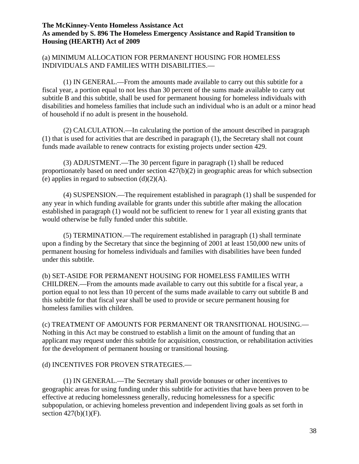# (a) MINIMUM ALLOCATION FOR PERMANENT HOUSING FOR HOMELESS INDIVIDUALS AND FAMILIES WITH DISABILITIES.—

(1) IN GENERAL.—From the amounts made available to carry out this subtitle for a fiscal year, a portion equal to not less than 30 percent of the sums made available to carry out subtitle B and this subtitle, shall be used for permanent housing for homeless individuals with disabilities and homeless families that include such an individual who is an adult or a minor head of household if no adult is present in the household.

(2) CALCULATION.—In calculating the portion of the amount described in paragraph (1) that is used for activities that are described in paragraph (1), the Secretary shall not count funds made available to renew contracts for existing projects under section 429.

(3) ADJUSTMENT.—The 30 percent figure in paragraph (1) shall be reduced proportionately based on need under section 427(b)(2) in geographic areas for which subsection (e) applies in regard to subsection  $(d)(2)(A)$ .

(4) SUSPENSION.—The requirement established in paragraph (1) shall be suspended for any year in which funding available for grants under this subtitle after making the allocation established in paragraph (1) would not be sufficient to renew for 1 year all existing grants that would otherwise be fully funded under this subtitle.

(5) TERMINATION.—The requirement established in paragraph (1) shall terminate upon a finding by the Secretary that since the beginning of 2001 at least 150,000 new units of permanent housing for homeless individuals and families with disabilities have been funded under this subtitle.

(b) SET-ASIDE FOR PERMANENT HOUSING FOR HOMELESS FAMILIES WITH CHILDREN.—From the amounts made available to carry out this subtitle for a fiscal year, a portion equal to not less than 10 percent of the sums made available to carry out subtitle B and this subtitle for that fiscal year shall be used to provide or secure permanent housing for homeless families with children.

(c) TREATMENT OF AMOUNTS FOR PERMANENT OR TRANSITIONAL HOUSING.— Nothing in this Act may be construed to establish a limit on the amount of funding that an applicant may request under this subtitle for acquisition, construction, or rehabilitation activities for the development of permanent housing or transitional housing.

# (d) INCENTIVES FOR PROVEN STRATEGIES.—

(1) IN GENERAL.—The Secretary shall provide bonuses or other incentives to geographic areas for using funding under this subtitle for activities that have been proven to be effective at reducing homelessness generally, reducing homelessness for a specific subpopulation, or achieving homeless prevention and independent living goals as set forth in section  $427(b)(1)(F)$ .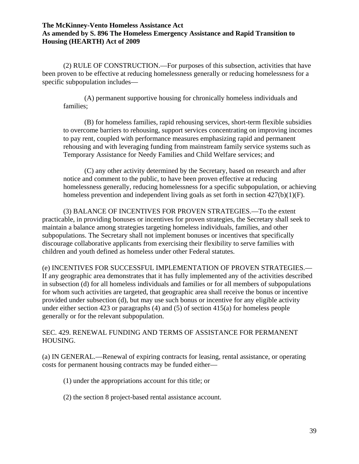(2) RULE OF CONSTRUCTION.—For purposes of this subsection, activities that have been proven to be effective at reducing homelessness generally or reducing homelessness for a specific subpopulation includes—

(A) permanent supportive housing for chronically homeless individuals and families;

(B) for homeless families, rapid rehousing services, short-term flexible subsidies to overcome barriers to rehousing, support services concentrating on improving incomes to pay rent, coupled with performance measures emphasizing rapid and permanent rehousing and with leveraging funding from mainstream family service systems such as Temporary Assistance for Needy Families and Child Welfare services; and

(C) any other activity determined by the Secretary, based on research and after notice and comment to the public, to have been proven effective at reducing homelessness generally, reducing homelessness for a specific subpopulation, or achieving homeless prevention and independent living goals as set forth in section  $427(b)(1)(F)$ .

(3) BALANCE OF INCENTIVES FOR PROVEN STRATEGIES.—To the extent practicable, in providing bonuses or incentives for proven strategies, the Secretary shall seek to maintain a balance among strategies targeting homeless individuals, families, and other subpopulations. The Secretary shall not implement bonuses or incentives that specifically discourage collaborative applicants from exercising their flexibility to serve families with children and youth defined as homeless under other Federal statutes.

(e) INCENTIVES FOR SUCCESSFUL IMPLEMENTATION OF PROVEN STRATEGIES.— If any geographic area demonstrates that it has fully implemented any of the activities described in subsection (d) for all homeless individuals and families or for all members of subpopulations for whom such activities are targeted, that geographic area shall receive the bonus or incentive provided under subsection (d), but may use such bonus or incentive for any eligible activity under either section 423 or paragraphs (4) and (5) of section 415(a) for homeless people generally or for the relevant subpopulation.

SEC. 429. RENEWAL FUNDING AND TERMS OF ASSISTANCE FOR PERMANENT HOUSING.

(a) IN GENERAL.—Renewal of expiring contracts for leasing, rental assistance, or operating costs for permanent housing contracts may be funded either—

- (1) under the appropriations account for this title; or
- (2) the section 8 project-based rental assistance account.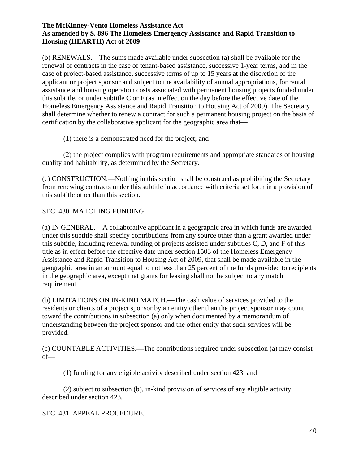(b) RENEWALS.—The sums made available under subsection (a) shall be available for the renewal of contracts in the case of tenant-based assistance, successive 1-year terms, and in the case of project-based assistance, successive terms of up to 15 years at the discretion of the applicant or project sponsor and subject to the availability of annual appropriations, for rental assistance and housing operation costs associated with permanent housing projects funded under this subtitle, or under subtitle C or F (as in effect on the day before the effective date of the Homeless Emergency Assistance and Rapid Transition to Housing Act of 2009). The Secretary shall determine whether to renew a contract for such a permanent housing project on the basis of certification by the collaborative applicant for the geographic area that—

(1) there is a demonstrated need for the project; and

(2) the project complies with program requirements and appropriate standards of housing quality and habitability, as determined by the Secretary.

(c) CONSTRUCTION.—Nothing in this section shall be construed as prohibiting the Secretary from renewing contracts under this subtitle in accordance with criteria set forth in a provision of this subtitle other than this section.

SEC. 430. MATCHING FUNDING.

(a) IN GENERAL.—A collaborative applicant in a geographic area in which funds are awarded under this subtitle shall specify contributions from any source other than a grant awarded under this subtitle, including renewal funding of projects assisted under subtitles C, D, and F of this title as in effect before the effective date under section 1503 of the Homeless Emergency Assistance and Rapid Transition to Housing Act of 2009, that shall be made available in the geographic area in an amount equal to not less than 25 percent of the funds provided to recipients in the geographic area, except that grants for leasing shall not be subject to any match requirement.

(b) LIMITATIONS ON IN-KIND MATCH.—The cash value of services provided to the residents or clients of a project sponsor by an entity other than the project sponsor may count toward the contributions in subsection (a) only when documented by a memorandum of understanding between the project sponsor and the other entity that such services will be provided.

(c) COUNTABLE ACTIVITIES.—The contributions required under subsection (a) may consist of—

(1) funding for any eligible activity described under section 423; and

(2) subject to subsection (b), in-kind provision of services of any eligible activity described under section 423.

SEC. 431. APPEAL PROCEDURE.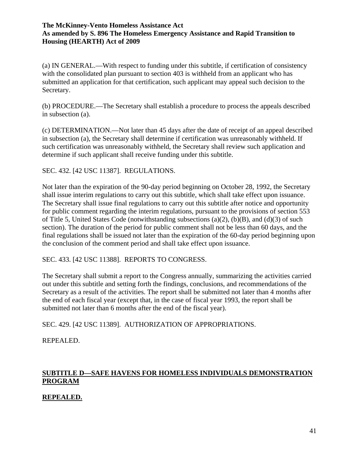(a) IN GENERAL.—With respect to funding under this subtitle, if certification of consistency with the consolidated plan pursuant to section 403 is withheld from an applicant who has submitted an application for that certification, such applicant may appeal such decision to the Secretary.

(b) PROCEDURE.—The Secretary shall establish a procedure to process the appeals described in subsection (a).

(c) DETERMINATION.—Not later than 45 days after the date of receipt of an appeal described in subsection (a), the Secretary shall determine if certification was unreasonably withheld. If such certification was unreasonably withheld, the Secretary shall review such application and determine if such applicant shall receive funding under this subtitle.

SEC. 432. [42 USC 11387]. REGULATIONS.

Not later than the expiration of the 90-day period beginning on October 28, 1992, the Secretary shall issue interim regulations to carry out this subtitle, which shall take effect upon issuance. The Secretary shall issue final regulations to carry out this subtitle after notice and opportunity for public comment regarding the interim regulations, pursuant to the provisions of section 553 of Title 5, United States Code (notwithstanding subsections (a)(2), (b)(B), and (d)(3) of such section). The duration of the period for public comment shall not be less than 60 days, and the final regulations shall be issued not later than the expiration of the 60-day period beginning upon the conclusion of the comment period and shall take effect upon issuance.

### SEC. 433. [42 USC 11388]. REPORTS TO CONGRESS.

The Secretary shall submit a report to the Congress annually, summarizing the activities carried out under this subtitle and setting forth the findings, conclusions, and recommendations of the Secretary as a result of the activities. The report shall be submitted not later than 4 months after the end of each fiscal year (except that, in the case of fiscal year 1993, the report shall be submitted not later than 6 months after the end of the fiscal year).

SEC. 429. [42 USC 11389]. AUTHORIZATION OF APPROPRIATIONS.

REPEALED.

# **SUBTITLE D—SAFE HAVENS FOR HOMELESS INDIVIDUALS DEMONSTRATION PROGRAM**

### **REPEALED.**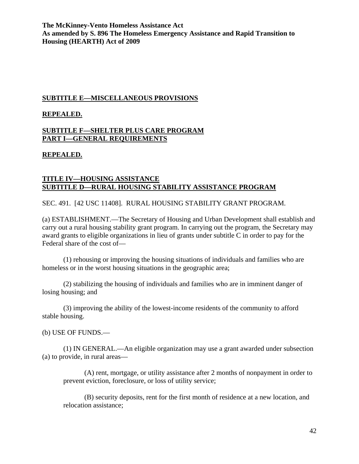#### **SUBTITLE E—MISCELLANEOUS PROVISIONS**

#### **REPEALED.**

### **SUBTITLE F—SHELTER PLUS CARE PROGRAM PART I—GENERAL REQUIREMENTS**

### **REPEALED.**

## **TITLE IV—HOUSING ASSISTANCE SUBTITLE D—RURAL HOUSING STABILITY ASSISTANCE PROGRAM**

SEC. 491. [42 USC 11408]. RURAL HOUSING STABILITY GRANT PROGRAM.

(a) ESTABLISHMENT.—The Secretary of Housing and Urban Development shall establish and carry out a rural housing stability grant program. In carrying out the program, the Secretary may award grants to eligible organizations in lieu of grants under subtitle C in order to pay for the Federal share of the cost of—

(1) rehousing or improving the housing situations of individuals and families who are homeless or in the worst housing situations in the geographic area;

(2) stabilizing the housing of individuals and families who are in imminent danger of losing housing; and

(3) improving the ability of the lowest-income residents of the community to afford stable housing.

(b) USE OF FUNDS.—

(1) IN GENERAL.—An eligible organization may use a grant awarded under subsection (a) to provide, in rural areas—

(A) rent, mortgage, or utility assistance after 2 months of nonpayment in order to prevent eviction, foreclosure, or loss of utility service;

(B) security deposits, rent for the first month of residence at a new location, and relocation assistance;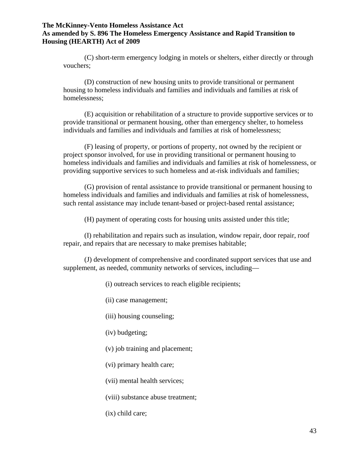(C) short-term emergency lodging in motels or shelters, either directly or through vouchers;

(D) construction of new housing units to provide transitional or permanent housing to homeless individuals and families and individuals and families at risk of homelessness;

(E) acquisition or rehabilitation of a structure to provide supportive services or to provide transitional or permanent housing, other than emergency shelter, to homeless individuals and families and individuals and families at risk of homelessness;

(F) leasing of property, or portions of property, not owned by the recipient or project sponsor involved, for use in providing transitional or permanent housing to homeless individuals and families and individuals and families at risk of homelessness, or providing supportive services to such homeless and at-risk individuals and families;

(G) provision of rental assistance to provide transitional or permanent housing to homeless individuals and families and individuals and families at risk of homelessness, such rental assistance may include tenant-based or project-based rental assistance;

(H) payment of operating costs for housing units assisted under this title;

(I) rehabilitation and repairs such as insulation, window repair, door repair, roof repair, and repairs that are necessary to make premises habitable;

(J) development of comprehensive and coordinated support services that use and supplement, as needed, community networks of services, including—

(i) outreach services to reach eligible recipients;

(ii) case management;

(iii) housing counseling;

(iv) budgeting;

(v) job training and placement;

(vi) primary health care;

(vii) mental health services;

(viii) substance abuse treatment;

(ix) child care;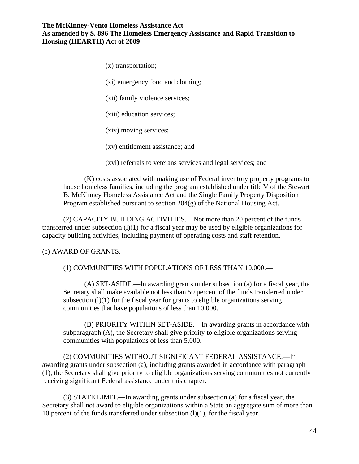(x) transportation;

(xi) emergency food and clothing;

(xii) family violence services;

(xiii) education services;

(xiv) moving services;

(xv) entitlement assistance; and

(xvi) referrals to veterans services and legal services; and

(K) costs associated with making use of Federal inventory property programs to house homeless families, including the program established under title V of the Stewart B. McKinney Homeless Assistance Act and the Single Family Property Disposition Program established pursuant to section 204(g) of the National Housing Act.

(2) CAPACITY BUILDING ACTIVITIES.—Not more than 20 percent of the funds transferred under subsection  $(l)(1)$  for a fiscal year may be used by eligible organizations for capacity building activities, including payment of operating costs and staff retention.

#### (c) AWARD OF GRANTS.—

#### (1) COMMUNITIES WITH POPULATIONS OF LESS THAN 10,000.—

(A) SET-ASIDE.—In awarding grants under subsection (a) for a fiscal year, the Secretary shall make available not less than 50 percent of the funds transferred under subsection  $(1)(1)$  for the fiscal year for grants to eligible organizations serving communities that have populations of less than 10,000.

(B) PRIORITY WITHIN SET-ASIDE.—In awarding grants in accordance with subparagraph (A), the Secretary shall give priority to eligible organizations serving communities with populations of less than 5,000.

(2) COMMUNITIES WITHOUT SIGNIFICANT FEDERAL ASSISTANCE.—In awarding grants under subsection (a), including grants awarded in accordance with paragraph (1), the Secretary shall give priority to eligible organizations serving communities not currently receiving significant Federal assistance under this chapter.

(3) STATE LIMIT.—In awarding grants under subsection (a) for a fiscal year, the Secretary shall not award to eligible organizations within a State an aggregate sum of more than 10 percent of the funds transferred under subsection (l)(1), for the fiscal year.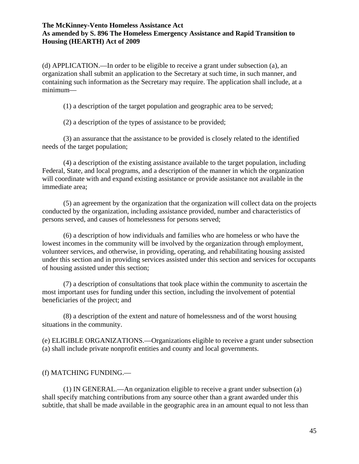(d) APPLICATION.—In order to be eligible to receive a grant under subsection (a), an organization shall submit an application to the Secretary at such time, in such manner, and containing such information as the Secretary may require. The application shall include, at a minimum—

(1) a description of the target population and geographic area to be served;

(2) a description of the types of assistance to be provided;

(3) an assurance that the assistance to be provided is closely related to the identified needs of the target population;

(4) a description of the existing assistance available to the target population, including Federal, State, and local programs, and a description of the manner in which the organization will coordinate with and expand existing assistance or provide assistance not available in the immediate area;

(5) an agreement by the organization that the organization will collect data on the projects conducted by the organization, including assistance provided, number and characteristics of persons served, and causes of homelessness for persons served;

(6) a description of how individuals and families who are homeless or who have the lowest incomes in the community will be involved by the organization through employment, volunteer services, and otherwise, in providing, operating, and rehabilitating housing assisted under this section and in providing services assisted under this section and services for occupants of housing assisted under this section;

(7) a description of consultations that took place within the community to ascertain the most important uses for funding under this section, including the involvement of potential beneficiaries of the project; and

(8) a description of the extent and nature of homelessness and of the worst housing situations in the community.

(e) ELIGIBLE ORGANIZATIONS.—Organizations eligible to receive a grant under subsection (a) shall include private nonprofit entities and county and local governments.

#### (f) MATCHING FUNDING.—

(1) IN GENERAL.—An organization eligible to receive a grant under subsection (a) shall specify matching contributions from any source other than a grant awarded under this subtitle, that shall be made available in the geographic area in an amount equal to not less than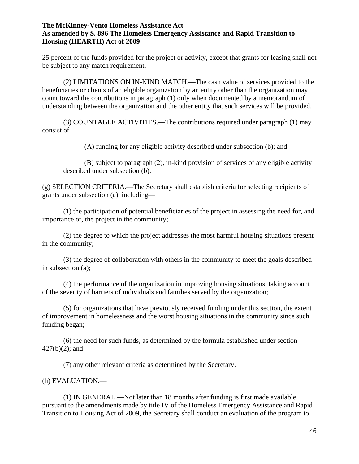25 percent of the funds provided for the project or activity, except that grants for leasing shall not be subject to any match requirement.

(2) LIMITATIONS ON IN-KIND MATCH.—The cash value of services provided to the beneficiaries or clients of an eligible organization by an entity other than the organization may count toward the contributions in paragraph (1) only when documented by a memorandum of understanding between the organization and the other entity that such services will be provided.

(3) COUNTABLE ACTIVITIES.—The contributions required under paragraph (1) may consist of—

(A) funding for any eligible activity described under subsection (b); and

(B) subject to paragraph (2), in-kind provision of services of any eligible activity described under subsection (b).

(g) SELECTION CRITERIA.—The Secretary shall establish criteria for selecting recipients of grants under subsection (a), including—

(1) the participation of potential beneficiaries of the project in assessing the need for, and importance of, the project in the community;

(2) the degree to which the project addresses the most harmful housing situations present in the community;

(3) the degree of collaboration with others in the community to meet the goals described in subsection (a);

(4) the performance of the organization in improving housing situations, taking account of the severity of barriers of individuals and families served by the organization;

(5) for organizations that have previously received funding under this section, the extent of improvement in homelessness and the worst housing situations in the community since such funding began;

(6) the need for such funds, as determined by the formula established under section 427(b)(2); and

(7) any other relevant criteria as determined by the Secretary.

### (h) EVALUATION.—

(1) IN GENERAL.—Not later than 18 months after funding is first made available pursuant to the amendments made by title IV of the Homeless Emergency Assistance and Rapid Transition to Housing Act of 2009, the Secretary shall conduct an evaluation of the program to—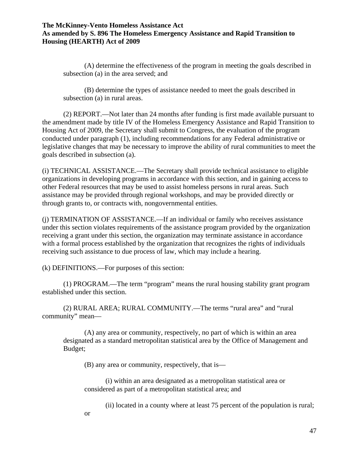(A) determine the effectiveness of the program in meeting the goals described in subsection (a) in the area served; and

(B) determine the types of assistance needed to meet the goals described in subsection (a) in rural areas.

(2) REPORT.—Not later than 24 months after funding is first made available pursuant to the amendment made by title IV of the Homeless Emergency Assistance and Rapid Transition to Housing Act of 2009, the Secretary shall submit to Congress, the evaluation of the program conducted under paragraph (1), including recommendations for any Federal administrative or legislative changes that may be necessary to improve the ability of rural communities to meet the goals described in subsection (a).

(i) TECHNICAL ASSISTANCE.—The Secretary shall provide technical assistance to eligible organizations in developing programs in accordance with this section, and in gaining access to other Federal resources that may be used to assist homeless persons in rural areas. Such assistance may be provided through regional workshops, and may be provided directly or through grants to, or contracts with, nongovernmental entities.

(j) TERMINATION OF ASSISTANCE.—If an individual or family who receives assistance under this section violates requirements of the assistance program provided by the organization receiving a grant under this section, the organization may terminate assistance in accordance with a formal process established by the organization that recognizes the rights of individuals receiving such assistance to due process of law, which may include a hearing.

(k) DEFINITIONS.—For purposes of this section:

(1) PROGRAM.—The term "program" means the rural housing stability grant program established under this section.

(2) RURAL AREA; RURAL COMMUNITY.—The terms "rural area" and "rural community" mean—

(A) any area or community, respectively, no part of which is within an area designated as a standard metropolitan statistical area by the Office of Management and Budget;

(B) any area or community, respectively, that is—

(i) within an area designated as a metropolitan statistical area or considered as part of a metropolitan statistical area; and

(ii) located in a county where at least 75 percent of the population is rural;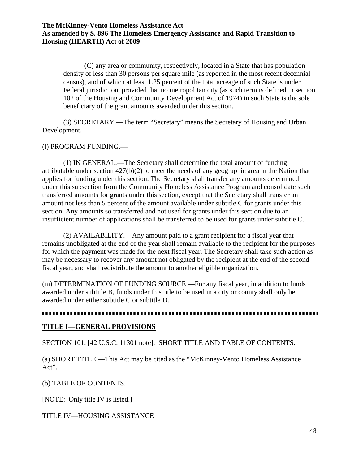(C) any area or community, respectively, located in a State that has population density of less than 30 persons per square mile (as reported in the most recent decennial census), and of which at least 1.25 percent of the total acreage of such State is under Federal jurisdiction, provided that no metropolitan city (as such term is defined in section 102 of the Housing and Community Development Act of 1974) in such State is the sole beneficiary of the grant amounts awarded under this section.

(3) SECRETARY.—The term "Secretary" means the Secretary of Housing and Urban Development.

#### (l) PROGRAM FUNDING.—

(1) IN GENERAL.—The Secretary shall determine the total amount of funding attributable under section 427(b)(2) to meet the needs of any geographic area in the Nation that applies for funding under this section. The Secretary shall transfer any amounts determined under this subsection from the Community Homeless Assistance Program and consolidate such transferred amounts for grants under this section, except that the Secretary shall transfer an amount not less than 5 percent of the amount available under subtitle C for grants under this section. Any amounts so transferred and not used for grants under this section due to an insufficient number of applications shall be transferred to be used for grants under subtitle C.

(2) AVAILABILITY.—Any amount paid to a grant recipient for a fiscal year that remains unobligated at the end of the year shall remain available to the recipient for the purposes for which the payment was made for the next fiscal year. The Secretary shall take such action as may be necessary to recover any amount not obligated by the recipient at the end of the second fiscal year, and shall redistribute the amount to another eligible organization.

(m) DETERMINATION OF FUNDING SOURCE.—For any fiscal year, in addition to funds awarded under subtitle B, funds under this title to be used in a city or county shall only be awarded under either subtitle C or subtitle D.

### **TITLE I—GENERAL PROVISIONS**

SECTION 101. [42 U.S.C. 11301 note]. SHORT TITLE AND TABLE OF CONTENTS.

(a) SHORT TITLE.—This Act may be cited as the "McKinney-Vento Homeless Assistance Act".

(b) TABLE OF CONTENTS.—

[NOTE: Only title IV is listed.]

TITLE IV—HOUSING ASSISTANCE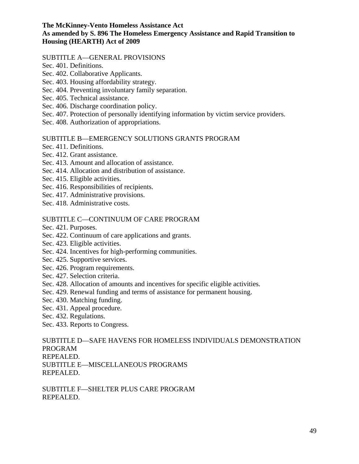#### SUBTITLE A—GENERAL PROVISIONS

- Sec. 401. Definitions.
- Sec. 402. Collaborative Applicants.
- Sec. 403. Housing affordability strategy.
- Sec. 404. Preventing involuntary family separation.
- Sec. 405. Technical assistance.
- Sec. 406. Discharge coordination policy.
- Sec. 407. Protection of personally identifying information by victim service providers.
- Sec. 408. Authorization of appropriations.

#### SUBTITLE B—EMERGENCY SOLUTIONS GRANTS PROGRAM

- Sec. 411. Definitions.
- Sec. 412. Grant assistance.
- Sec. 413. Amount and allocation of assistance.
- Sec. 414. Allocation and distribution of assistance.
- Sec. 415. Eligible activities.
- Sec. 416. Responsibilities of recipients.
- Sec. 417. Administrative provisions.
- Sec. 418. Administrative costs.

## SUBTITLE C—CONTINUUM OF CARE PROGRAM

- Sec. 421. Purposes.
- Sec. 422. Continuum of care applications and grants.
- Sec. 423. Eligible activities.
- Sec. 424. Incentives for high-performing communities.
- Sec. 425. Supportive services.
- Sec. 426. Program requirements.
- Sec. 427. Selection criteria.
- Sec. 428. Allocation of amounts and incentives for specific eligible activities.
- Sec. 429. Renewal funding and terms of assistance for permanent housing.
- Sec. 430. Matching funding.
- Sec. 431. Appeal procedure.
- Sec. 432. Regulations.
- Sec. 433. Reports to Congress.

SUBTITLE D—SAFE HAVENS FOR HOMELESS INDIVIDUALS DEMONSTRATION PROGRAM REPEALED. SUBTITLE E—MISCELLANEOUS PROGRAMS REPEALED.

SUBTITLE F—SHELTER PLUS CARE PROGRAM REPEALED.